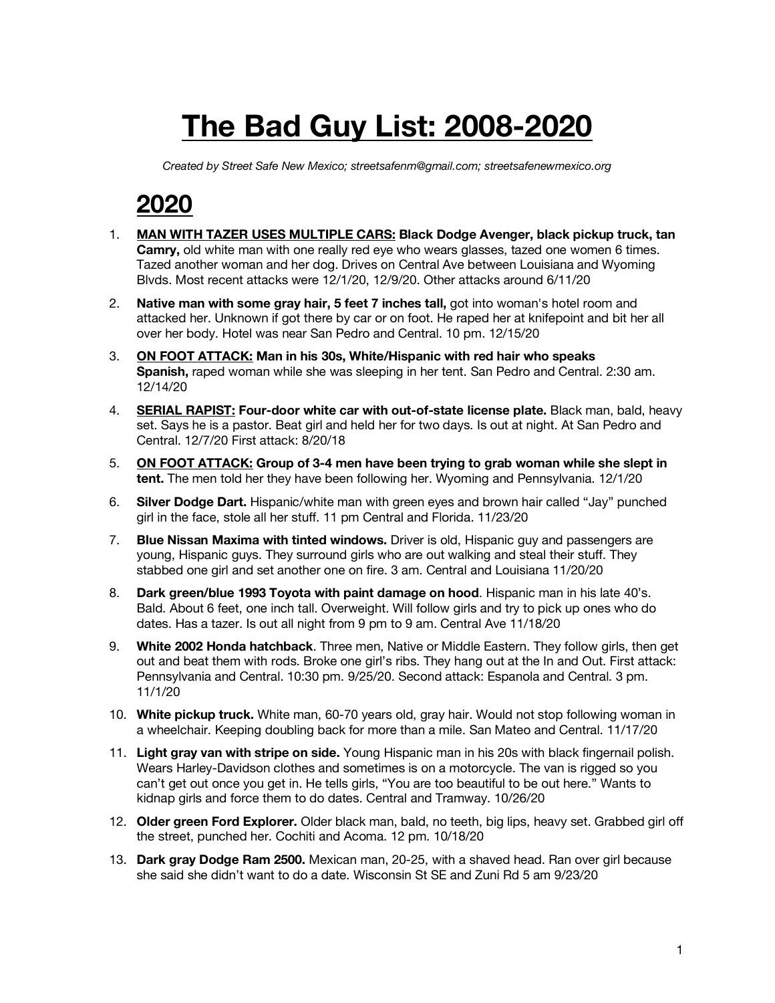# **The Bad Guy List: 2008-2020**

*Created by Street Safe New Mexico; streetsafenm@gmail.com; streetsafenewmexico.org*

- 1. **MAN WITH TAZER USES MULTIPLE CARS: Black Dodge Avenger, black pickup truck, tan Camry,** old white man with one really red eye who wears glasses, tazed one women 6 times. Tazed another woman and her dog. Drives on Central Ave between Louisiana and Wyoming Blvds. Most recent attacks were 12/1/20, 12/9/20. Other attacks around 6/11/20
- 2. **Native man with some gray hair, 5 feet 7 inches tall,** got into woman's hotel room and attacked her. Unknown if got there by car or on foot. He raped her at knifepoint and bit her all over her body. Hotel was near San Pedro and Central. 10 pm. 12/15/20
- 3. **ON FOOT ATTACK: Man in his 30s, White/Hispanic with red hair who speaks Spanish,** raped woman while she was sleeping in her tent. San Pedro and Central. 2:30 am. 12/14/20
- 4. **SERIAL RAPIST: Four-door white car with out-of-state license plate.** Black man, bald, heavy set. Says he is a pastor. Beat girl and held her for two days. Is out at night. At San Pedro and Central. 12/7/20 First attack: 8/20/18
- 5. **ON FOOT ATTACK: Group of 3-4 men have been trying to grab woman while she slept in tent.** The men told her they have been following her. Wyoming and Pennsylvania. 12/1/20
- 6. **Silver Dodge Dart.** Hispanic/white man with green eyes and brown hair called "Jay" punched girl in the face, stole all her stuff. 11 pm Central and Florida. 11/23/20
- 7. **Blue Nissan Maxima with tinted windows.** Driver is old, Hispanic guy and passengers are young, Hispanic guys. They surround girls who are out walking and steal their stuff. They stabbed one girl and set another one on fire. 3 am. Central and Louisiana 11/20/20
- 8. **Dark green/blue 1993 Toyota with paint damage on hood**. Hispanic man in his late 40's. Bald. About 6 feet, one inch tall. Overweight. Will follow girls and try to pick up ones who do dates. Has a tazer. Is out all night from 9 pm to 9 am. Central Ave 11/18/20
- 9. **White 2002 Honda hatchback**. Three men, Native or Middle Eastern. They follow girls, then get out and beat them with rods. Broke one girl's ribs. They hang out at the In and Out. First attack: Pennsylvania and Central. 10:30 pm. 9/25/20. Second attack: Espanola and Central. 3 pm. 11/1/20
- 10. **White pickup truck.** White man, 60-70 years old, gray hair. Would not stop following woman in a wheelchair. Keeping doubling back for more than a mile. San Mateo and Central. 11/17/20
- 11. **Light gray van with stripe on side.** Young Hispanic man in his 20s with black fingernail polish. Wears Harley-Davidson clothes and sometimes is on a motorcycle. The van is rigged so you can't get out once you get in. He tells girls, "You are too beautiful to be out here." Wants to kidnap girls and force them to do dates. Central and Tramway. 10/26/20
- 12. **Older green Ford Explorer.** Older black man, bald, no teeth, big lips, heavy set. Grabbed girl off the street, punched her. Cochiti and Acoma. 12 pm. 10/18/20
- 13. **Dark gray Dodge Ram 2500.** Mexican man, 20-25, with a shaved head. Ran over girl because she said she didn't want to do a date. Wisconsin St SE and Zuni Rd 5 am 9/23/20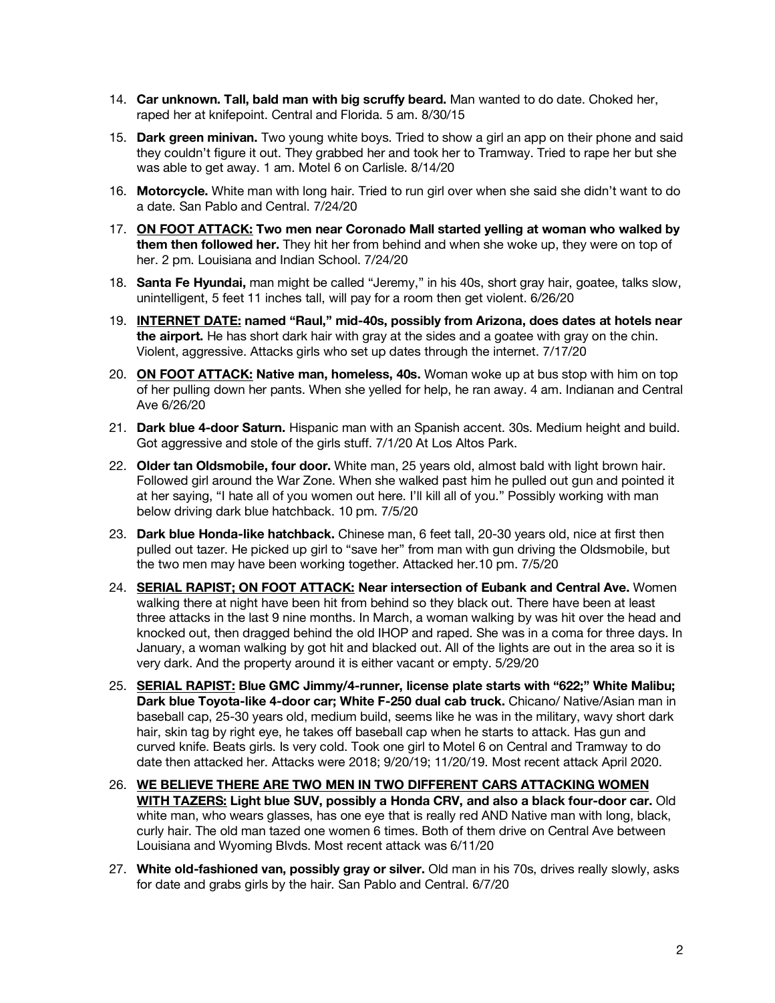- 14. **Car unknown. Tall, bald man with big scruffy beard.** Man wanted to do date. Choked her, raped her at knifepoint. Central and Florida. 5 am. 8/30/15
- 15. **Dark green minivan.** Two young white boys. Tried to show a girl an app on their phone and said they couldn't figure it out. They grabbed her and took her to Tramway. Tried to rape her but she was able to get away. 1 am. Motel 6 on Carlisle. 8/14/20
- 16. **Motorcycle.** White man with long hair. Tried to run girl over when she said she didn't want to do a date. San Pablo and Central. 7/24/20
- 17. **ON FOOT ATTACK: Two men near Coronado Mall started yelling at woman who walked by them then followed her.** They hit her from behind and when she woke up, they were on top of her. 2 pm. Louisiana and Indian School. 7/24/20
- 18. **Santa Fe Hyundai,** man might be called "Jeremy," in his 40s, short gray hair, goatee, talks slow, unintelligent, 5 feet 11 inches tall, will pay for a room then get violent. 6/26/20
- 19. **INTERNET DATE: named "Raul," mid-40s, possibly from Arizona, does dates at hotels near the airport.** He has short dark hair with gray at the sides and a goatee with gray on the chin. Violent, aggressive. Attacks girls who set up dates through the internet. 7/17/20
- 20. **ON FOOT ATTACK: Native man, homeless, 40s.** Woman woke up at bus stop with him on top of her pulling down her pants. When she yelled for help, he ran away. 4 am. Indianan and Central Ave 6/26/20
- 21. **Dark blue 4-door Saturn.** Hispanic man with an Spanish accent. 30s. Medium height and build. Got aggressive and stole of the girls stuff. 7/1/20 At Los Altos Park.
- 22. **Older tan Oldsmobile, four door.** White man, 25 years old, almost bald with light brown hair. Followed girl around the War Zone. When she walked past him he pulled out gun and pointed it at her saying, "I hate all of you women out here. I'll kill all of you." Possibly working with man below driving dark blue hatchback. 10 pm. 7/5/20
- 23. **Dark blue Honda-like hatchback.** Chinese man, 6 feet tall, 20-30 years old, nice at first then pulled out tazer. He picked up girl to "save her" from man with gun driving the Oldsmobile, but the two men may have been working together. Attacked her.10 pm. 7/5/20
- 24. **SERIAL RAPIST; ON FOOT ATTACK: Near intersection of Eubank and Central Ave.** Women walking there at night have been hit from behind so they black out. There have been at least three attacks in the last 9 nine months. In March, a woman walking by was hit over the head and knocked out, then dragged behind the old IHOP and raped. She was in a coma for three days. In January, a woman walking by got hit and blacked out. All of the lights are out in the area so it is very dark. And the property around it is either vacant or empty. 5/29/20
- 25. **SERIAL RAPIST: Blue GMC Jimmy/4-runner, license plate starts with "622;" White Malibu; Dark blue Toyota-like 4-door car; White F-250 dual cab truck.** Chicano/ Native/Asian man in baseball cap, 25-30 years old, medium build, seems like he was in the military, wavy short dark hair, skin tag by right eye, he takes off baseball cap when he starts to attack. Has gun and curved knife. Beats girls. Is very cold. Took one girl to Motel 6 on Central and Tramway to do date then attacked her. Attacks were 2018; 9/20/19; 11/20/19. Most recent attack April 2020.
- 26. **WE BELIEVE THERE ARE TWO MEN IN TWO DIFFERENT CARS ATTACKING WOMEN WITH TAZERS: Light blue SUV, possibly a Honda CRV, and also a black four-door car.** Old white man, who wears glasses, has one eye that is really red AND Native man with long, black, curly hair. The old man tazed one women 6 times. Both of them drive on Central Ave between Louisiana and Wyoming Blvds. Most recent attack was 6/11/20
- 27. **White old-fashioned van, possibly gray or silver.** Old man in his 70s, drives really slowly, asks for date and grabs girls by the hair. San Pablo and Central. 6/7/20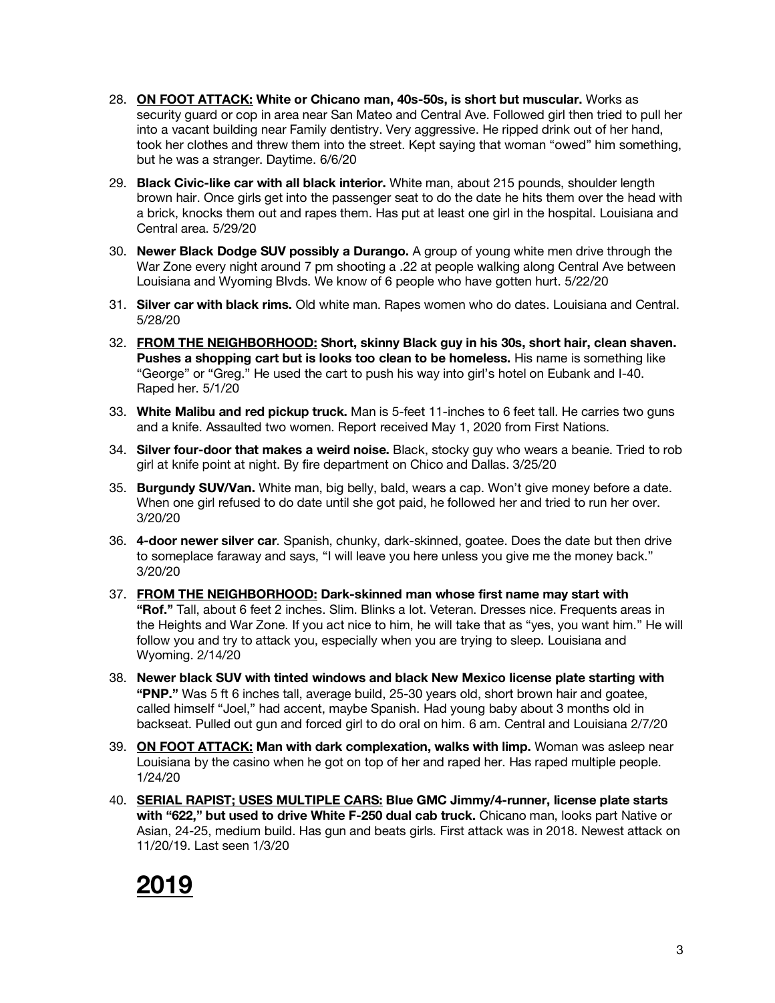- 28. **ON FOOT ATTACK: White or Chicano man, 40s-50s, is short but muscular.** Works as security guard or cop in area near San Mateo and Central Ave. Followed girl then tried to pull her into a vacant building near Family dentistry. Very aggressive. He ripped drink out of her hand, took her clothes and threw them into the street. Kept saying that woman "owed" him something, but he was a stranger. Daytime. 6/6/20
- 29. **Black Civic-like car with all black interior.** White man, about 215 pounds, shoulder length brown hair. Once girls get into the passenger seat to do the date he hits them over the head with a brick, knocks them out and rapes them. Has put at least one girl in the hospital. Louisiana and Central area. 5/29/20
- 30. **Newer Black Dodge SUV possibly a Durango.** A group of young white men drive through the War Zone every night around 7 pm shooting a .22 at people walking along Central Ave between Louisiana and Wyoming Blvds. We know of 6 people who have gotten hurt. 5/22/20
- 31. **Silver car with black rims.** Old white man. Rapes women who do dates. Louisiana and Central. 5/28/20
- 32. **FROM THE NEIGHBORHOOD: Short, skinny Black guy in his 30s, short hair, clean shaven. Pushes a shopping cart but is looks too clean to be homeless.** His name is something like "George" or "Greg." He used the cart to push his way into girl's hotel on Eubank and I-40. Raped her. 5/1/20
- 33. **White Malibu and red pickup truck.** Man is 5-feet 11-inches to 6 feet tall. He carries two guns and a knife. Assaulted two women. Report received May 1, 2020 from First Nations.
- 34. **Silver four-door that makes a weird noise.** Black, stocky guy who wears a beanie. Tried to rob girl at knife point at night. By fire department on Chico and Dallas. 3/25/20
- 35. **Burgundy SUV/Van.** White man, big belly, bald, wears a cap. Won't give money before a date. When one girl refused to do date until she got paid, he followed her and tried to run her over. 3/20/20
- 36. **4-door newer silver car**. Spanish, chunky, dark-skinned, goatee. Does the date but then drive to someplace faraway and says, "I will leave you here unless you give me the money back." 3/20/20
- 37. **FROM THE NEIGHBORHOOD: Dark-skinned man whose first name may start with "Rof."** Tall, about 6 feet 2 inches. Slim. Blinks a lot. Veteran. Dresses nice. Frequents areas in the Heights and War Zone. If you act nice to him, he will take that as "yes, you want him." He will follow you and try to attack you, especially when you are trying to sleep. Louisiana and Wyoming. 2/14/20
- 38. **Newer black SUV with tinted windows and black New Mexico license plate starting with "PNP."** Was 5 ft 6 inches tall, average build, 25-30 years old, short brown hair and goatee, called himself "Joel," had accent, maybe Spanish. Had young baby about 3 months old in backseat. Pulled out gun and forced girl to do oral on him. 6 am. Central and Louisiana 2/7/20
- 39. **ON FOOT ATTACK: Man with dark complexation, walks with limp.** Woman was asleep near Louisiana by the casino when he got on top of her and raped her. Has raped multiple people. 1/24/20
- 40. **SERIAL RAPIST; USES MULTIPLE CARS: Blue GMC Jimmy/4-runner, license plate starts with "622," but used to drive White F-250 dual cab truck.** Chicano man, looks part Native or Asian, 24-25, medium build. Has gun and beats girls. First attack was in 2018. Newest attack on 11/20/19. Last seen 1/3/20

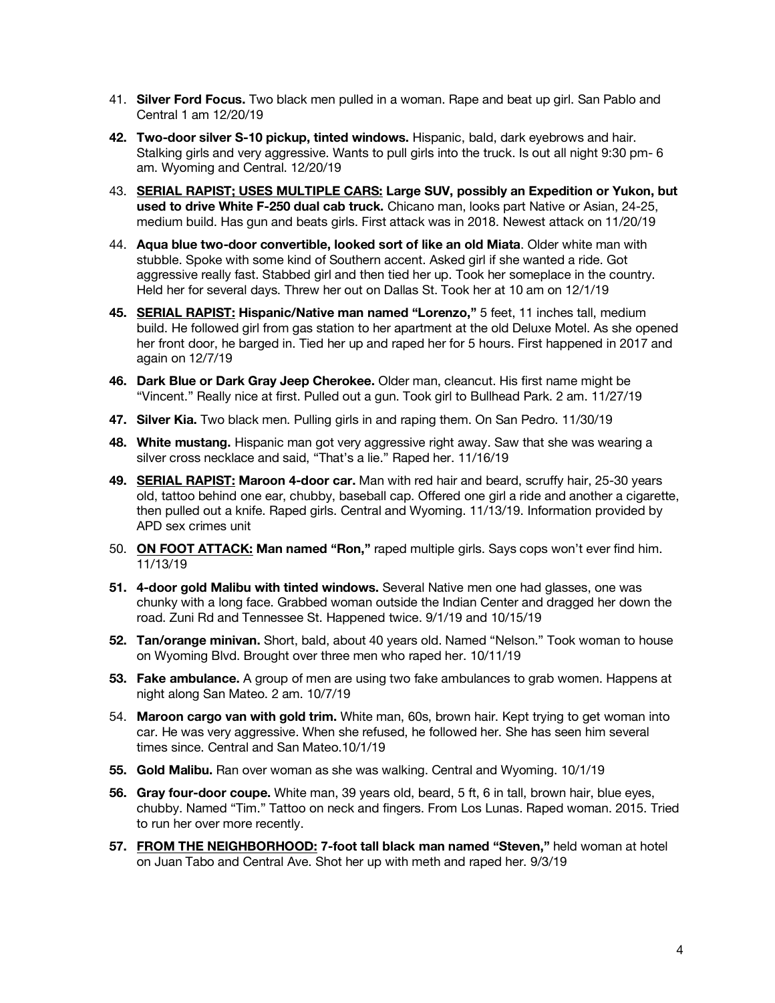- 41. **Silver Ford Focus.** Two black men pulled in a woman. Rape and beat up girl. San Pablo and Central 1 am 12/20/19
- **42. Two-door silver S-10 pickup, tinted windows.** Hispanic, bald, dark eyebrows and hair. Stalking girls and very aggressive. Wants to pull girls into the truck. Is out all night 9:30 pm- 6 am. Wyoming and Central. 12/20/19
- 43. **SERIAL RAPIST; USES MULTIPLE CARS: Large SUV, possibly an Expedition or Yukon, but used to drive White F-250 dual cab truck.** Chicano man, looks part Native or Asian, 24-25, medium build. Has gun and beats girls. First attack was in 2018. Newest attack on 11/20/19
- 44. **Aqua blue two-door convertible, looked sort of like an old Miata**. Older white man with stubble. Spoke with some kind of Southern accent. Asked girl if she wanted a ride. Got aggressive really fast. Stabbed girl and then tied her up. Took her someplace in the country. Held her for several days. Threw her out on Dallas St. Took her at 10 am on 12/1/19
- **45. SERIAL RAPIST: Hispanic/Native man named "Lorenzo,"** 5 feet, 11 inches tall, medium build. He followed girl from gas station to her apartment at the old Deluxe Motel. As she opened her front door, he barged in. Tied her up and raped her for 5 hours. First happened in 2017 and again on 12/7/19
- **46. Dark Blue or Dark Gray Jeep Cherokee.** Older man, cleancut. His first name might be "Vincent." Really nice at first. Pulled out a gun. Took girl to Bullhead Park. 2 am. 11/27/19
- **47. Silver Kia.** Two black men. Pulling girls in and raping them. On San Pedro. 11/30/19
- **48. White mustang.** Hispanic man got very aggressive right away. Saw that she was wearing a silver cross necklace and said, "That's a lie." Raped her. 11/16/19
- **49. SERIAL RAPIST: Maroon 4-door car.** Man with red hair and beard, scruffy hair, 25-30 years old, tattoo behind one ear, chubby, baseball cap. Offered one girl a ride and another a cigarette, then pulled out a knife. Raped girls. Central and Wyoming. 11/13/19. Information provided by APD sex crimes unit
- 50. **ON FOOT ATTACK: Man named "Ron,"** raped multiple girls. Says cops won't ever find him. 11/13/19
- **51. 4-door gold Malibu with tinted windows.** Several Native men one had glasses, one was chunky with a long face. Grabbed woman outside the Indian Center and dragged her down the road. Zuni Rd and Tennessee St. Happened twice. 9/1/19 and 10/15/19
- **52. Tan/orange minivan.** Short, bald, about 40 years old. Named "Nelson." Took woman to house on Wyoming Blvd. Brought over three men who raped her. 10/11/19
- **53. Fake ambulance.** A group of men are using two fake ambulances to grab women. Happens at night along San Mateo. 2 am. 10/7/19
- 54. **Maroon cargo van with gold trim.** White man, 60s, brown hair. Kept trying to get woman into car. He was very aggressive. When she refused, he followed her. She has seen him several times since. Central and San Mateo. 10/1/19
- **55. Gold Malibu.** Ran over woman as she was walking. Central and Wyoming. 10/1/19
- **56. Gray four-door coupe.** White man, 39 years old, beard, 5 ft, 6 in tall, brown hair, blue eyes, chubby. Named "Tim." Tattoo on neck and fingers. From Los Lunas. Raped woman. 2015. Tried to run her over more recently.
- **57. FROM THE NEIGHBORHOOD: 7-foot tall black man named "Steven,"** held woman at hotel on Juan Tabo and Central Ave. Shot her up with meth and raped her. 9/3/19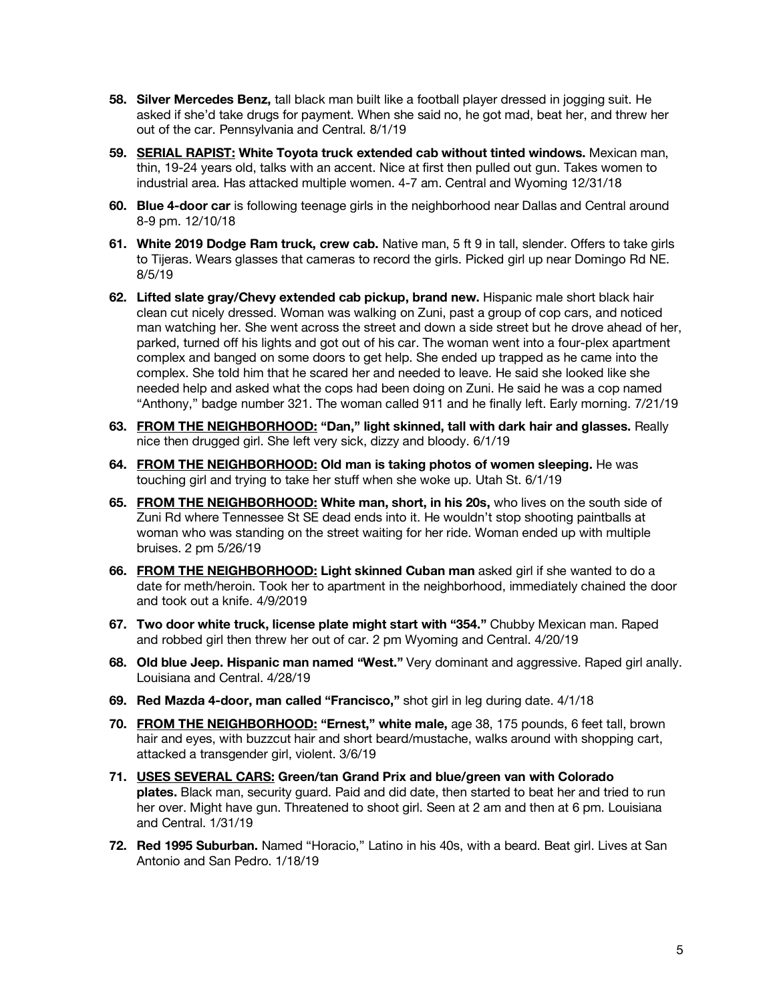- **58. Silver Mercedes Benz,** tall black man built like a football player dressed in jogging suit. He asked if she'd take drugs for payment. When she said no, he got mad, beat her, and threw her out of the car. Pennsylvania and Central. 8/1/19
- **59. SERIAL RAPIST: White Toyota truck extended cab without tinted windows.** Mexican man, thin, 19-24 years old, talks with an accent. Nice at first then pulled out gun. Takes women to industrial area. Has attacked multiple women. 4-7 am. Central and Wyoming 12/31/18
- **60. Blue 4-door car** is following teenage girls in the neighborhood near Dallas and Central around 8-9 pm. 12/10/18
- **61. White 2019 Dodge Ram truck, crew cab.** Native man, 5 ft 9 in tall, slender. Offers to take girls to Tijeras. Wears glasses that cameras to record the girls. Picked girl up near Domingo Rd NE. 8/5/19
- **62. Lifted slate gray/Chevy extended cab pickup, brand new.** Hispanic male short black hair clean cut nicely dressed. Woman was walking on Zuni, past a group of cop cars, and noticed man watching her. She went across the street and down a side street but he drove ahead of her, parked, turned off his lights and got out of his car. The woman went into a four-plex apartment complex and banged on some doors to get help. She ended up trapped as he came into the complex. She told him that he scared her and needed to leave. He said she looked like she needed help and asked what the cops had been doing on Zuni. He said he was a cop named "Anthony," badge number 321. The woman called 911 and he finally left. Early morning. 7/21/19
- **63. FROM THE NEIGHBORHOOD: "Dan," light skinned, tall with dark hair and glasses.** Really nice then drugged girl. She left very sick, dizzy and bloody. 6/1/19
- **64. FROM THE NEIGHBORHOOD: Old man is taking photos of women sleeping.** He was touching girl and trying to take her stuff when she woke up. Utah St. 6/1/19
- **65. FROM THE NEIGHBORHOOD: White man, short, in his 20s,** who lives on the south side of Zuni Rd where Tennessee St SE dead ends into it. He wouldn't stop shooting paintballs at woman who was standing on the street waiting for her ride. Woman ended up with multiple bruises. 2 pm 5/26/19
- **66. FROM THE NEIGHBORHOOD: Light skinned Cuban man** asked girl if she wanted to do a date for meth/heroin. Took her to apartment in the neighborhood, immediately chained the door and took out a knife. 4/9/2019
- **67. Two door white truck, license plate might start with "354."** Chubby Mexican man. Raped and robbed girl then threw her out of car. 2 pm Wyoming and Central. 4/20/19
- **68. Old blue Jeep. Hispanic man named "West."** Very dominant and aggressive. Raped girl anally. Louisiana and Central. 4/28/19
- **69. Red Mazda 4-door, man called "Francisco,"** shot girl in leg during date. 4/1/18
- **70. FROM THE NEIGHBORHOOD: "Ernest," white male,** age 38, 175 pounds, 6 feet tall, brown hair and eyes, with buzzcut hair and short beard/mustache, walks around with shopping cart, attacked a transgender girl, violent. 3/6/19
- **71. USES SEVERAL CARS: Green/tan Grand Prix and blue/green van with Colorado plates.** Black man, security guard. Paid and did date, then started to beat her and tried to run her over. Might have gun. Threatened to shoot girl. Seen at 2 am and then at 6 pm. Louisiana and Central. 1/31/19
- **72. Red 1995 Suburban.** Named "Horacio," Latino in his 40s, with a beard. Beat girl. Lives at San Antonio and San Pedro. 1/18/19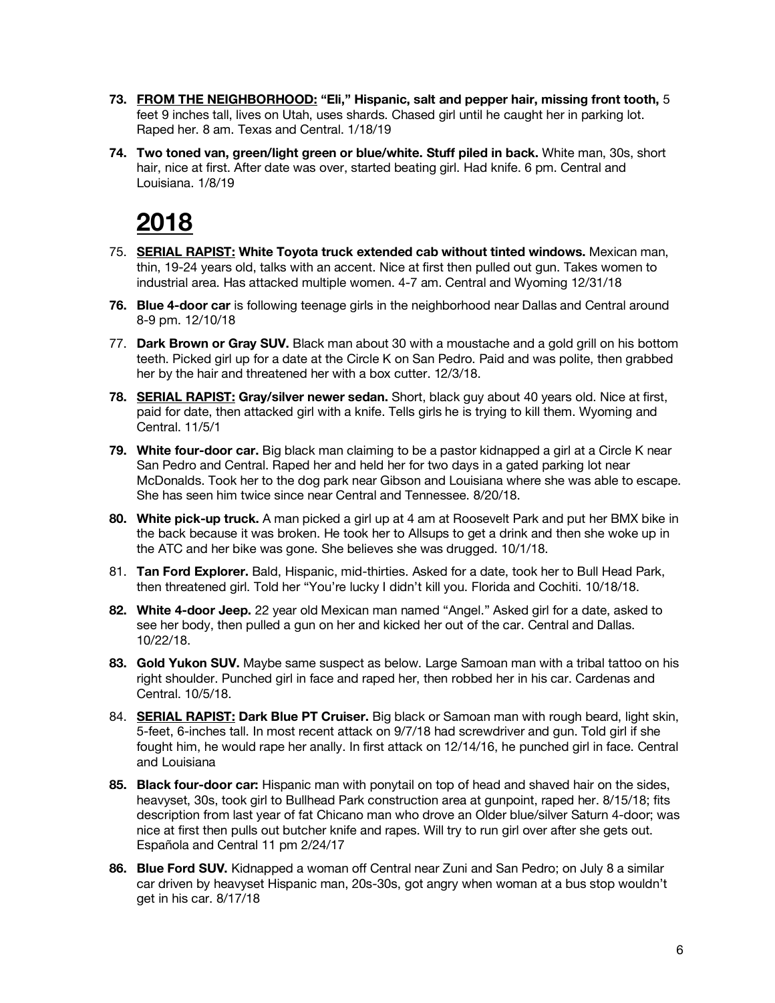- **73. FROM THE NEIGHBORHOOD: "Eli," Hispanic, salt and pepper hair, missing front tooth,** 5 feet 9 inches tall, lives on Utah, uses shards. Chased girl until he caught her in parking lot. Raped her. 8 am. Texas and Central. 1/18/19
- **74. Two toned van, green/light green or blue/white. Stuff piled in back.** White man, 30s, short hair, nice at first. After date was over, started beating girl. Had knife. 6 pm. Central and Louisiana. 1/8/19

- 75. **SERIAL RAPIST: White Toyota truck extended cab without tinted windows.** Mexican man, thin, 19-24 years old, talks with an accent. Nice at first then pulled out gun. Takes women to industrial area. Has attacked multiple women. 4-7 am. Central and Wyoming 12/31/18
- **76. Blue 4-door car** is following teenage girls in the neighborhood near Dallas and Central around 8-9 pm. 12/10/18
- 77. **Dark Brown or Gray SUV.** Black man about 30 with a moustache and a gold grill on his bottom teeth. Picked girl up for a date at the Circle K on San Pedro. Paid and was polite, then grabbed her by the hair and threatened her with a box cutter. 12/3/18.
- **78. SERIAL RAPIST: Gray/silver newer sedan.** Short, black guy about 40 years old. Nice at first, paid for date, then attacked girl with a knife. Tells girls he is trying to kill them. Wyoming and Central. 11/5/1
- **79. White four-door car.** Big black man claiming to be a pastor kidnapped a girl at a Circle K near San Pedro and Central. Raped her and held her for two days in a gated parking lot near McDonalds. Took her to the dog park near Gibson and Louisiana where she was able to escape. She has seen him twice since near Central and Tennessee. 8/20/18.
- **80. White pick-up truck.** A man picked a girl up at 4 am at Roosevelt Park and put her BMX bike in the back because it was broken. He took her to Allsups to get a drink and then she woke up in the ATC and her bike was gone. She believes she was drugged. 10/1/18.
- 81. **Tan Ford Explorer.** Bald, Hispanic, mid-thirties. Asked for a date, took her to Bull Head Park, then threatened girl. Told her "You're lucky I didn't kill you. Florida and Cochiti. 10/18/18.
- **82. White 4-door Jeep.** 22 year old Mexican man named "Angel." Asked girl for a date, asked to see her body, then pulled a gun on her and kicked her out of the car. Central and Dallas. 10/22/18.
- **83. Gold Yukon SUV.** Maybe same suspect as below. Large Samoan man with a tribal tattoo on his right shoulder. Punched girl in face and raped her, then robbed her in his car. Cardenas and Central. 10/5/18.
- 84. **SERIAL RAPIST: Dark Blue PT Cruiser.** Big black or Samoan man with rough beard, light skin, 5-feet, 6-inches tall. In most recent attack on 9/7/18 had screwdriver and gun. Told girl if she fought him, he would rape her anally. In first attack on 12/14/16, he punched girl in face. Central and Louisiana
- **85. Black four-door car:** Hispanic man with ponytail on top of head and shaved hair on the sides, heavyset, 30s, took girl to Bullhead Park construction area at gunpoint, raped her. 8/15/18; fits description from last year of fat Chicano man who drove an Older blue/silver Saturn 4-door; was nice at first then pulls out butcher knife and rapes. Will try to run girl over after she gets out. Española and Central 11 pm 2/24/17
- **86. Blue Ford SUV.** Kidnapped a woman off Central near Zuni and San Pedro; on July 8 a similar car driven by heavyset Hispanic man, 20s-30s, got angry when woman at a bus stop wouldn't get in his car. 8/17/18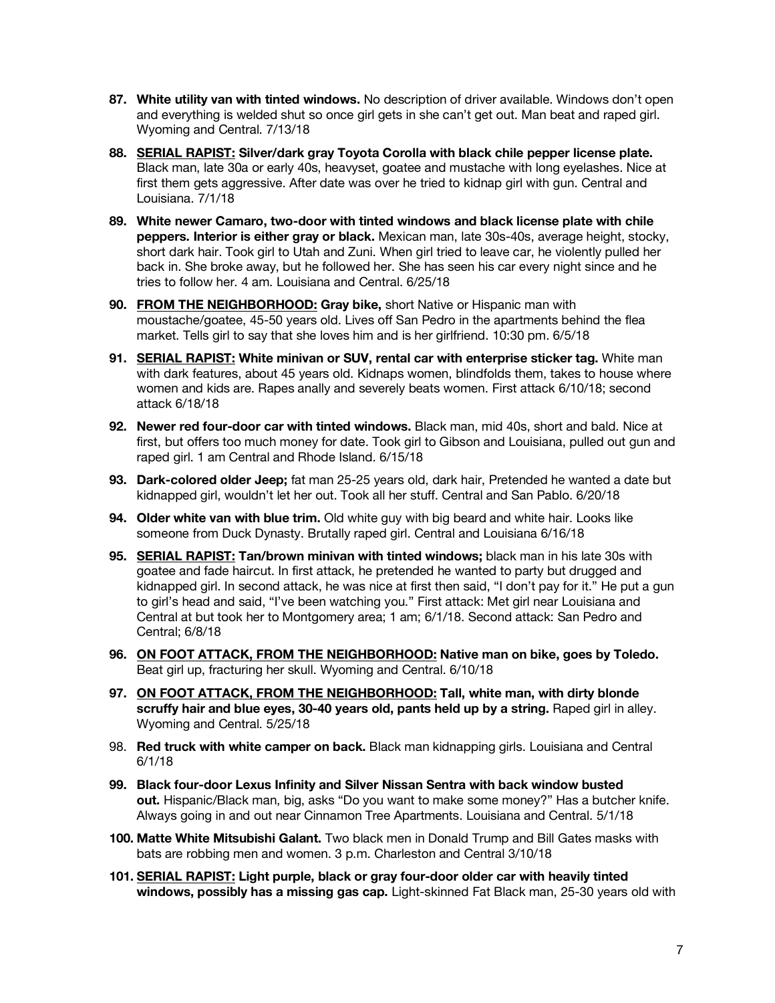- **87. White utility van with tinted windows.** No description of driver available. Windows don't open and everything is welded shut so once girl gets in she can't get out. Man beat and raped girl. Wyoming and Central. 7/13/18
- **88. SERIAL RAPIST: Silver/dark gray Toyota Corolla with black chile pepper license plate.** Black man, late 30a or early 40s, heavyset, goatee and mustache with long eyelashes. Nice at first them gets aggressive. After date was over he tried to kidnap girl with gun. Central and Louisiana. 7/1/18
- **89. White newer Camaro, two-door with tinted windows and black license plate with chile peppers. Interior is either gray or black.** Mexican man, late 30s-40s, average height, stocky, short dark hair. Took girl to Utah and Zuni. When girl tried to leave car, he violently pulled her back in. She broke away, but he followed her. She has seen his car every night since and he tries to follow her. 4 am. Louisiana and Central. 6/25/18
- **90. FROM THE NEIGHBORHOOD: Gray bike,** short Native or Hispanic man with moustache/goatee, 45-50 years old. Lives off San Pedro in the apartments behind the flea market. Tells girl to say that she loves him and is her girlfriend. 10:30 pm. 6/5/18
- **91. SERIAL RAPIST: White minivan or SUV, rental car with enterprise sticker tag.** White man with dark features, about 45 years old. Kidnaps women, blindfolds them, takes to house where women and kids are. Rapes anally and severely beats women. First attack 6/10/18; second attack 6/18/18
- **92. Newer red four-door car with tinted windows.** Black man, mid 40s, short and bald. Nice at first, but offers too much money for date. Took girl to Gibson and Louisiana, pulled out gun and raped girl. 1 am Central and Rhode Island. 6/15/18
- **93. Dark-colored older Jeep;** fat man 25-25 years old, dark hair, Pretended he wanted a date but kidnapped girl, wouldn't let her out. Took all her stuff. Central and San Pablo. 6/20/18
- **94. Older white van with blue trim.** Old white guy with big beard and white hair. Looks like someone from Duck Dynasty. Brutally raped girl. Central and Louisiana 6/16/18
- **95. SERIAL RAPIST: Tan/brown minivan with tinted windows;** black man in his late 30s with goatee and fade haircut. In first attack, he pretended he wanted to party but drugged and kidnapped girl. In second attack, he was nice at first then said, "I don't pay for it." He put a gun to girl's head and said, "I've been watching you." First attack: Met girl near Louisiana and Central at but took her to Montgomery area; 1 am; 6/1/18. Second attack: San Pedro and Central; 6/8/18
- **96. ON FOOT ATTACK, FROM THE NEIGHBORHOOD: Native man on bike, goes by Toledo.**  Beat girl up, fracturing her skull. Wyoming and Central. 6/10/18
- **97. ON FOOT ATTACK, FROM THE NEIGHBORHOOD: Tall, white man, with dirty blonde scruffy hair and blue eyes, 30-40 years old, pants held up by a string.** Raped girl in alley. Wyoming and Central. 5/25/18
- 98. **Red truck with white camper on back.** Black man kidnapping girls. Louisiana and Central 6/1/18
- **99. Black four-door Lexus Infinity and Silver Nissan Sentra with back window busted out.** Hispanic/Black man, big, asks "Do you want to make some money?" Has a butcher knife. Always going in and out near Cinnamon Tree Apartments. Louisiana and Central. 5/1/18
- **100. Matte White Mitsubishi Galant.** Two black men in Donald Trump and Bill Gates masks with bats are robbing men and women. 3 p.m. Charleston and Central 3/10/18
- **101. SERIAL RAPIST: Light purple, black or gray four-door older car with heavily tinted windows, possibly has a missing gas cap.** Light-skinned Fat Black man, 25-30 years old with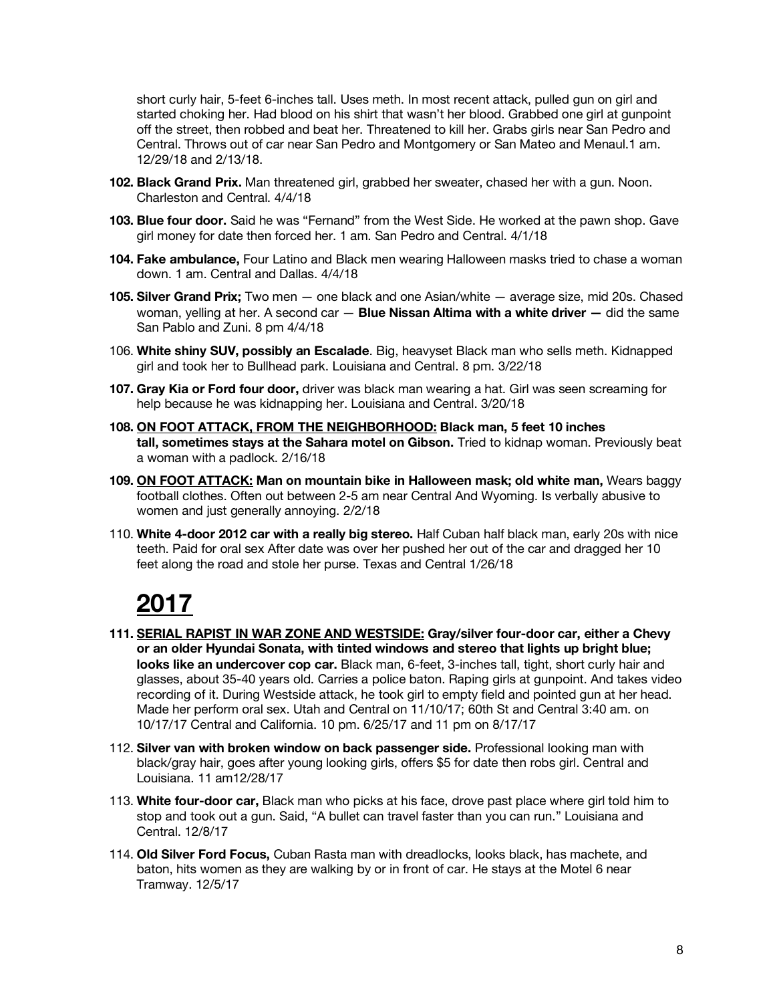short curly hair, 5-feet 6-inches tall. Uses meth. In most recent attack, pulled gun on girl and started choking her. Had blood on his shirt that wasn't her blood. Grabbed one girl at gunpoint off the street, then robbed and beat her. Threatened to kill her. Grabs girls near San Pedro and Central. Throws out of car near San Pedro and Montgomery or San Mateo and Menaul.1 am. 12/29/18 and 2/13/18.

- **102. Black Grand Prix.** Man threatened girl, grabbed her sweater, chased her with a gun. Noon. Charleston and Central. 4/4/18
- **103. Blue four door.** Said he was "Fernand" from the West Side. He worked at the pawn shop. Gave girl money for date then forced her. 1 am. San Pedro and Central. 4/1/18
- **104. Fake ambulance,** Four Latino and Black men wearing Halloween masks tried to chase a woman down. 1 am. Central and Dallas. 4/4/18
- **105. Silver Grand Prix;** Two men one black and one Asian/white average size, mid 20s. Chased woman, yelling at her. A second car — **Blue Nissan Altima with a white driver —** did the same San Pablo and Zuni. 8 pm 4/4/18
- 106. **White shiny SUV, possibly an Escalade**. Big, heavyset Black man who sells meth. Kidnapped girl and took her to Bullhead park. Louisiana and Central. 8 pm. 3/22/18
- **107. Gray Kia or Ford four door,** driver was black man wearing a hat. Girl was seen screaming for help because he was kidnapping her. Louisiana and Central. 3/20/18
- **108. ON FOOT ATTACK, FROM THE NEIGHBORHOOD: Black man, 5 feet 10 inches tall, sometimes stays at the Sahara motel on Gibson.** Tried to kidnap woman. Previously beat a woman with a padlock. 2/16/18
- **109. ON FOOT ATTACK: Man on mountain bike in Halloween mask; old white man,** Wears baggy football clothes. Often out between 2-5 am near Central And Wyoming. Is verbally abusive to women and just generally annoying. 2/2/18
- 110. **White 4-door 2012 car with a really big stereo.** Half Cuban half black man, early 20s with nice teeth. Paid for oral sex After date was over her pushed her out of the car and dragged her 10 feet along the road and stole her purse. Texas and Central 1/26/18

- **111. SERIAL RAPIST IN WAR ZONE AND WESTSIDE: Gray/silver four-door car, either a Chevy or an older Hyundai Sonata, with tinted windows and stereo that lights up bright blue; looks like an undercover cop car.** Black man, 6-feet, 3-inches tall, tight, short curly hair and glasses, about 35-40 years old. Carries a police baton. Raping girls at gunpoint. And takes video recording of it. During Westside attack, he took girl to empty field and pointed gun at her head. Made her perform oral sex. Utah and Central on 11/10/17; 60th St and Central 3:40 am. on 10/17/17 Central and California. 10 pm. 6/25/17 and 11 pm on 8/17/17
- 112. **Silver van with broken window on back passenger side.** Professional looking man with black/gray hair, goes after young looking girls, offers \$5 for date then robs girl. Central and Louisiana. 11 am12/28/17
- 113. **White four-door car,** Black man who picks at his face, drove past place where girl told him to stop and took out a gun. Said, "A bullet can travel faster than you can run." Louisiana and Central. 12/8/17
- 114. **Old Silver Ford Focus,** Cuban Rasta man with dreadlocks, looks black, has machete, and baton, hits women as they are walking by or in front of car. He stays at the Motel 6 near Tramway. 12/5/17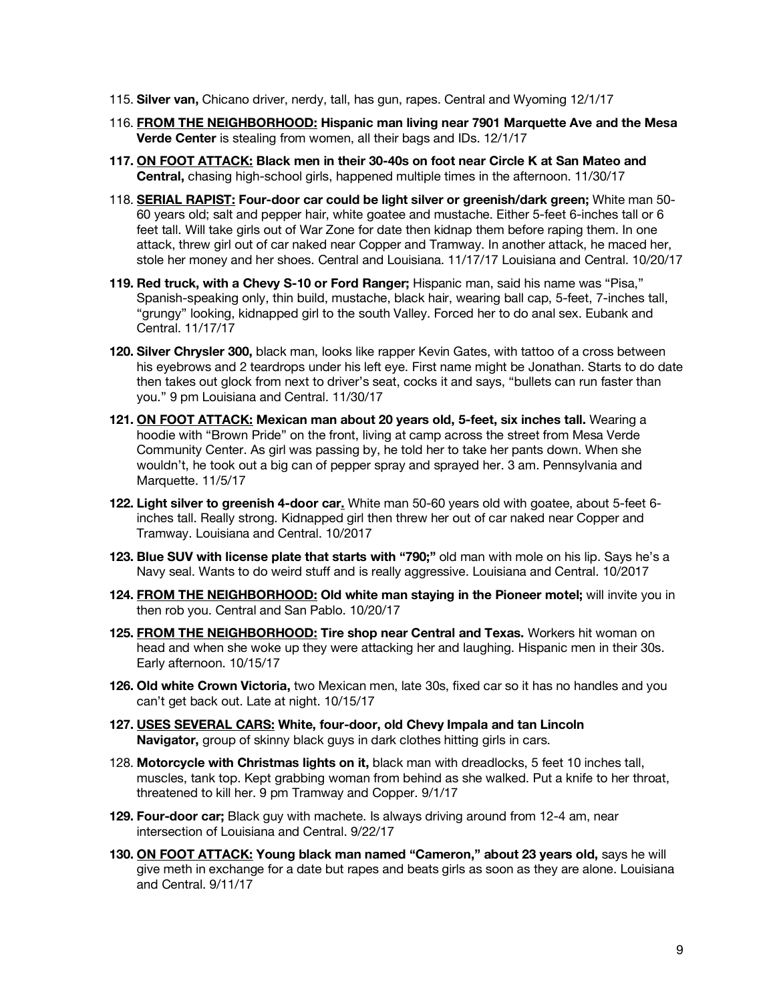- 115. **Silver van,** Chicano driver, nerdy, tall, has gun, rapes. Central and Wyoming 12/1/17
- 116. **FROM THE NEIGHBORHOOD: Hispanic man living near 7901 Marquette Ave and the Mesa Verde Center** is stealing from women, all their bags and IDs. 12/1/17
- **117. ON FOOT ATTACK: Black men in their 30-40s on foot near Circle K at San Mateo and Central,** chasing high-school girls, happened multiple times in the afternoon. 11/30/17
- 118. **SERIAL RAPIST: Four-door car could be light silver or greenish/dark green;** White man 50- 60 years old; salt and pepper hair, white goatee and mustache. Either 5-feet 6-inches tall or 6 feet tall. Will take girls out of War Zone for date then kidnap them before raping them. In one attack, threw girl out of car naked near Copper and Tramway. In another attack, he maced her, stole her money and her shoes. Central and Louisiana. 11/17/17 Louisiana and Central. 10/20/17
- **119. Red truck, with a Chevy S-10 or Ford Ranger;** Hispanic man, said his name was "Pisa," Spanish-speaking only, thin build, mustache, black hair, wearing ball cap, 5-feet, 7-inches tall, "grungy" looking, kidnapped girl to the south Valley. Forced her to do anal sex. Eubank and Central. 11/17/17
- **120. Silver Chrysler 300,** black man, looks like rapper Kevin Gates, with tattoo of a cross between his eyebrows and 2 teardrops under his left eye. First name might be Jonathan. Starts to do date then takes out glock from next to driver's seat, cocks it and says, "bullets can run faster than you." 9 pm Louisiana and Central. 11/30/17
- **121. ON FOOT ATTACK: Mexican man about 20 years old, 5-feet, six inches tall.** Wearing a hoodie with "Brown Pride" on the front, living at camp across the street from Mesa Verde Community Center. As girl was passing by, he told her to take her pants down. When she wouldn't, he took out a big can of pepper spray and sprayed her. 3 am. Pennsylvania and Marquette. 11/5/17
- **122. Light silver to greenish 4-door car.** White man 50-60 years old with goatee, about 5-feet 6 inches tall. Really strong. Kidnapped girl then threw her out of car naked near Copper and Tramway. Louisiana and Central. 10/2017
- **123. Blue SUV with license plate that starts with "790;"** old man with mole on his lip. Says he's a Navy seal. Wants to do weird stuff and is really aggressive. Louisiana and Central. 10/2017
- **124. FROM THE NEIGHBORHOOD: Old white man staying in the Pioneer motel;** will invite you in then rob you. Central and San Pablo. 10/20/17
- **125. FROM THE NEIGHBORHOOD: Tire shop near Central and Texas.** Workers hit woman on head and when she woke up they were attacking her and laughing. Hispanic men in their 30s. Early afternoon. 10/15/17
- **126. Old white Crown Victoria,** two Mexican men, late 30s, fixed car so it has no handles and you can't get back out. Late at night. 10/15/17
- **127. USES SEVERAL CARS: White, four-door, old Chevy Impala and tan Lincoln Navigator,** group of skinny black guys in dark clothes hitting girls in cars.
- 128. **Motorcycle with Christmas lights on it,** black man with dreadlocks, 5 feet 10 inches tall, muscles, tank top. Kept grabbing woman from behind as she walked. Put a knife to her throat, threatened to kill her. 9 pm Tramway and Copper. 9/1/17
- **129. Four-door car;** Black guy with machete. Is always driving around from 12-4 am, near intersection of Louisiana and Central. 9/22/17
- **130. ON FOOT ATTACK: Young black man named "Cameron," about 23 years old,** says he will give meth in exchange for a date but rapes and beats girls as soon as they are alone. Louisiana and Central. 9/11/17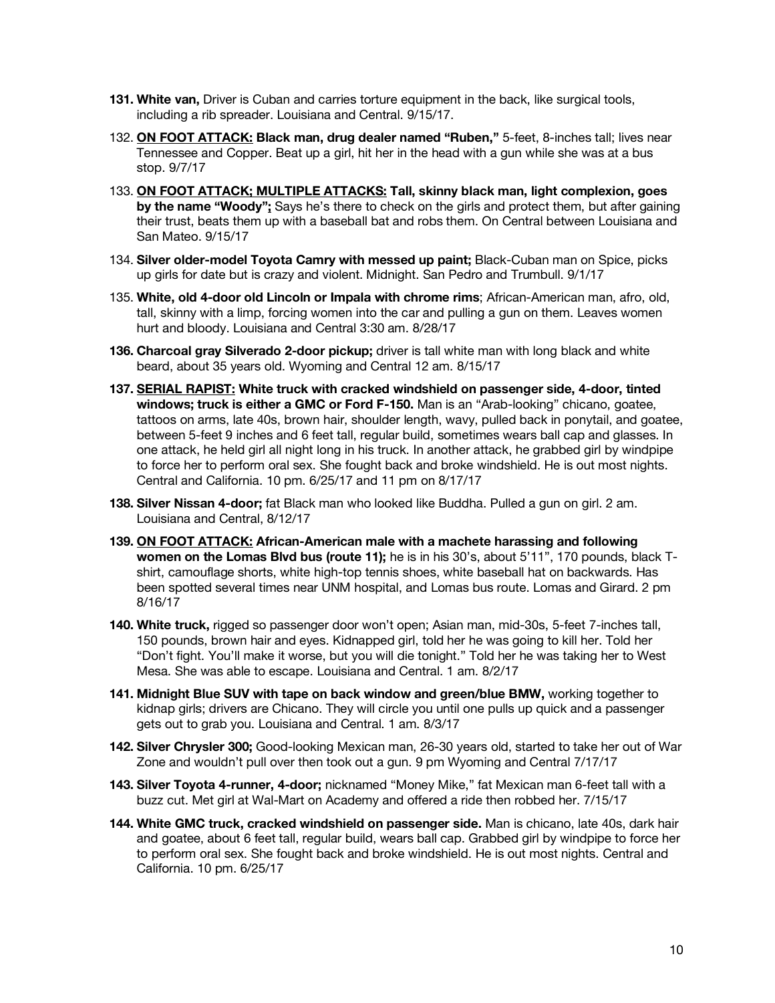- **131. White van,** Driver is Cuban and carries torture equipment in the back, like surgical tools, including a rib spreader. Louisiana and Central. 9/15/17.
- 132. **ON FOOT ATTACK: Black man, drug dealer named "Ruben,"** 5-feet, 8-inches tall; lives near Tennessee and Copper. Beat up a girl, hit her in the head with a gun while she was at a bus stop. 9/7/17
- 133. **ON FOOT ATTACK; MULTIPLE ATTACKS: Tall, skinny black man, light complexion, goes by the name "Woody";** Says he's there to check on the girls and protect them, but after gaining their trust, beats them up with a baseball bat and robs them. On Central between Louisiana and San Mateo. 9/15/17
- 134. **Silver older-model Toyota Camry with messed up paint;** Black-Cuban man on Spice, picks up girls for date but is crazy and violent. Midnight. San Pedro and Trumbull. 9/1/17
- 135. **White, old 4-door old Lincoln or Impala with chrome rims**; African-American man, afro, old, tall, skinny with a limp, forcing women into the car and pulling a gun on them. Leaves women hurt and bloody. Louisiana and Central 3:30 am. 8/28/17
- **136. Charcoal gray Silverado 2-door pickup;** driver is tall white man with long black and white beard, about 35 years old. Wyoming and Central 12 am. 8/15/17
- **137. SERIAL RAPIST: White truck with cracked windshield on passenger side, 4-door, tinted windows; truck is either a GMC or Ford F-150.** Man is an "Arab-looking" chicano, goatee, tattoos on arms, late 40s, brown hair, shoulder length, wavy, pulled back in ponytail, and goatee, between 5-feet 9 inches and 6 feet tall, regular build, sometimes wears ball cap and glasses. In one attack, he held girl all night long in his truck. In another attack, he grabbed girl by windpipe to force her to perform oral sex. She fought back and broke windshield. He is out most nights. Central and California. 10 pm. 6/25/17 and 11 pm on 8/17/17
- **138. Silver Nissan 4-door;** fat Black man who looked like Buddha. Pulled a gun on girl. 2 am. Louisiana and Central, 8/12/17
- **139. ON FOOT ATTACK: African-American male with a machete harassing and following women on the Lomas Blvd bus (route 11);** he is in his 30's, about 5'11", 170 pounds, black Tshirt, camouflage shorts, white high-top tennis shoes, white baseball hat on backwards. Has been spotted several times near UNM hospital, and Lomas bus route. Lomas and Girard. 2 pm 8/16/17
- **140. White truck,** rigged so passenger door won't open; Asian man, mid-30s, 5-feet 7-inches tall, 150 pounds, brown hair and eyes. Kidnapped girl, told her he was going to kill her. Told her "Don't fight. You'll make it worse, but you will die tonight." Told her he was taking her to West Mesa. She was able to escape. Louisiana and Central. 1 am. 8/2/17
- **141. Midnight Blue SUV with tape on back window and green/blue BMW,** working together to kidnap girls; drivers are Chicano. They will circle you until one pulls up quick and a passenger gets out to grab you. Louisiana and Central. 1 am. 8/3/17
- **142. Silver Chrysler 300;** Good-looking Mexican man, 26-30 years old, started to take her out of War Zone and wouldn't pull over then took out a gun. 9 pm Wyoming and Central 7/17/17
- **143. Silver Toyota 4-runner, 4-door;** nicknamed "Money Mike," fat Mexican man 6-feet tall with a buzz cut. Met girl at Wal-Mart on Academy and offered a ride then robbed her. 7/15/17
- **144. White GMC truck, cracked windshield on passenger side.** Man is chicano, late 40s, dark hair and goatee, about 6 feet tall, regular build, wears ball cap. Grabbed girl by windpipe to force her to perform oral sex. She fought back and broke windshield. He is out most nights. Central and California. 10 pm. 6/25/17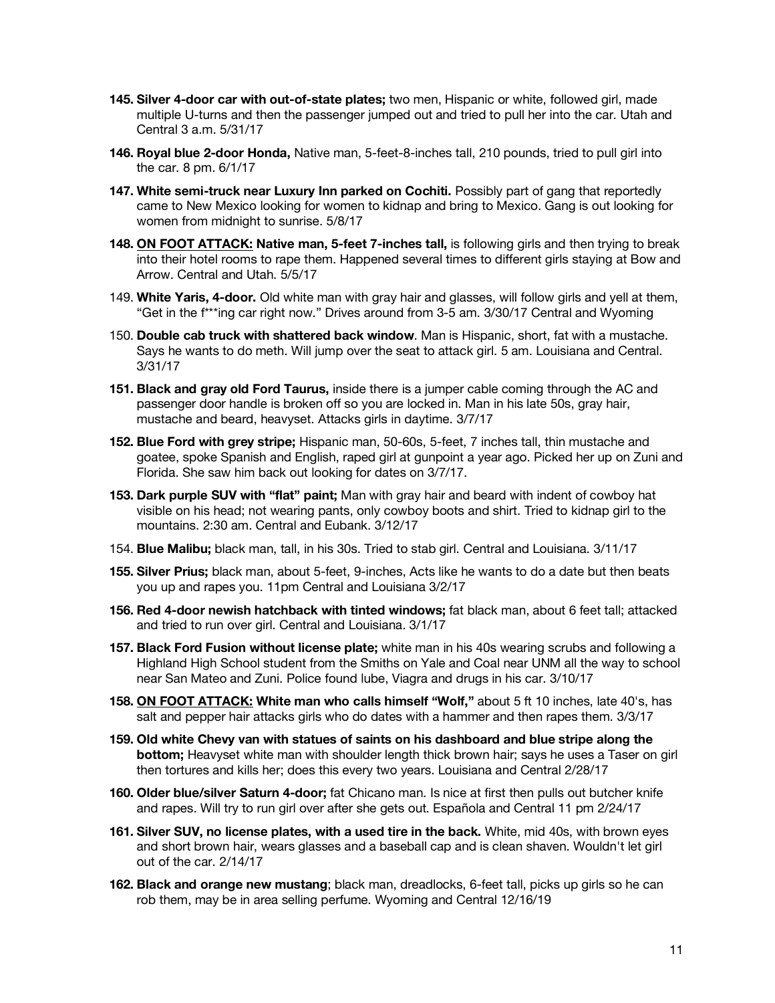- **145. Silver 4-door car with out-of-state plates;** two men, Hispanic or white, followed girl, made multiple U-turns and then the passenger jumped out and tried to pull her into the car. Utah and Central 3 a.m. 5/31/17
- **146. Royal blue 2-door Honda,** Native man, 5-feet-8-inches tall, 210 pounds, tried to pull girl into the car. 8 pm. 6/1/17
- **147. White semi-truck near Luxury Inn parked on Cochiti.** Possibly part of gang that reportedly came to New Mexico looking for women to kidnap and bring to Mexico. Gang is out looking for women from midnight to sunrise. 5/8/17
- **148. ON FOOT ATTACK: Native man, 5-feet 7-inches tall,** is following girls and then trying to break into their hotel rooms to rape them. Happened several times to different girls staying at Bow and Arrow. Central and Utah. 5/5/17
- 149. **White Yaris, 4-door.** Old white man with gray hair and glasses, will follow girls and yell at them, "Get in the f\*\*\*ing car right now." Drives around from 3-5 am. 3/30/17 Central and Wyoming
- 150. **Double cab truck with shattered back window**. Man is Hispanic, short, fat with a mustache. Says he wants to do meth. Will jump over the seat to attack girl. 5 am. Louisiana and Central. 3/31/17
- **151. Black and gray old Ford Taurus,** inside there is a jumper cable coming through the AC and passenger door handle is broken off so you are locked in. Man in his late 50s, gray hair, mustache and beard, heavyset. Attacks girls in daytime. 3/7/17
- **152. Blue Ford with grey stripe;** Hispanic man, 50-60s, 5-feet, 7 inches tall, thin mustache and goatee, spoke Spanish and English, raped girl at gunpoint a year ago. Picked her up on Zuni and Florida. She saw him back out looking for dates on 3/7/17.
- **153. Dark purple SUV with "flat" paint;** Man with gray hair and beard with indent of cowboy hat visible on his head; not wearing pants, only cowboy boots and shirt. Tried to kidnap girl to the mountains. 2:30 am. Central and Eubank. 3/12/17
- 154. **Blue Malibu;** black man, tall, in his 30s. Tried to stab girl. Central and Louisiana. 3/11/17
- **155. Silver Prius;** black man, about 5-feet, 9-inches, Acts like he wants to do a date but then beats you up and rapes you. 11pm Central and Louisiana 3/2/17
- **156. Red 4-door newish hatchback with tinted windows;** fat black man, about 6 feet tall; attacked and tried to run over girl. Central and Louisiana. 3/1/17
- **157. Black Ford Fusion without license plate;** white man in his 40s wearing scrubs and following a Highland High School student from the Smiths on Yale and Coal near UNM all the way to school near San Mateo and Zuni. Police found lube, Viagra and drugs in his car. 3/10/17
- **158. ON FOOT ATTACK: White man who calls himself "Wolf,"** about 5 ft 10 inches, late 40's, has salt and pepper hair attacks girls who do dates with a hammer and then rapes them. 3/3/17
- **159. Old white Chevy van with statues of saints on his dashboard and blue stripe along the bottom;** Heavyset white man with shoulder length thick brown hair; says he uses a Taser on girl then tortures and kills her; does this every two years. Louisiana and Central 2/28/17
- **160. Older blue/silver Saturn 4-door;** fat Chicano man. Is nice at first then pulls out butcher knife and rapes. Will try to run girl over after she gets out. Española and Central 11 pm 2/24/17
- **161. Silver SUV, no license plates, with a used tire in the back.** White, mid 40s, with brown eyes and short brown hair, wears glasses and a baseball cap and is clean shaven. Wouldn't let girl out of the car. 2/14/17
- **162. Black and orange new mustang**; black man, dreadlocks, 6-feet tall, picks up girls so he can rob them, may be in area selling perfume. Wyoming and Central 12/16/19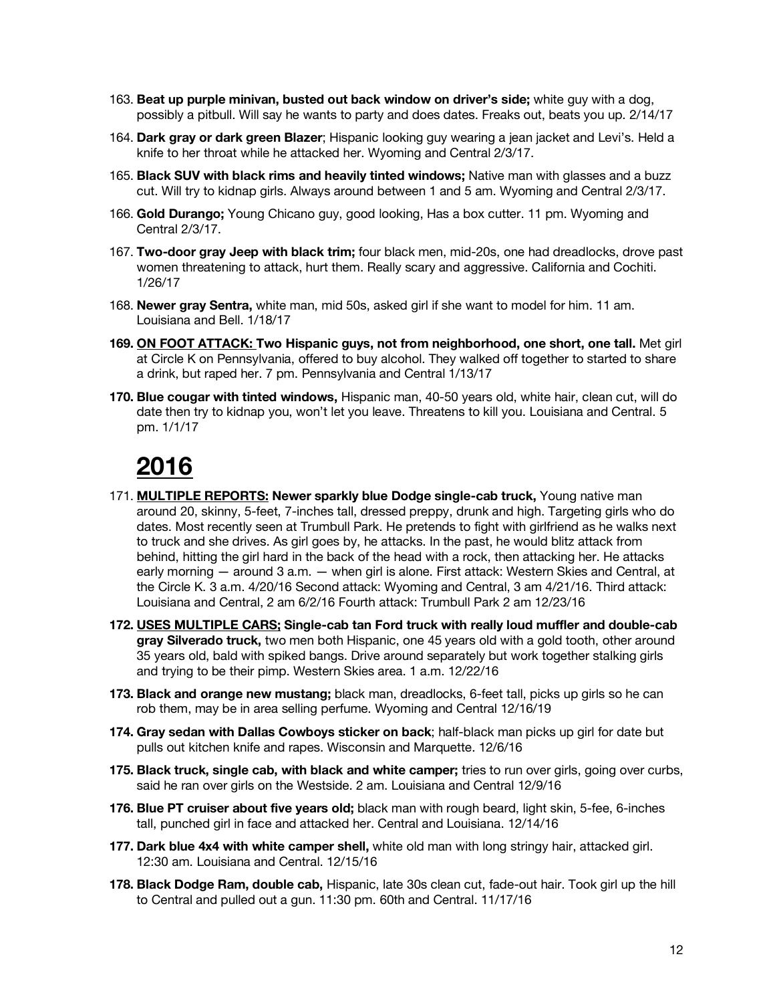- 163. **Beat up purple minivan, busted out back window on driver's side;** white guy with a dog, possibly a pitbull. Will say he wants to party and does dates. Freaks out, beats you up. 2/14/17
- 164. **Dark gray or dark green Blazer**; Hispanic looking guy wearing a jean jacket and Levi's. Held a knife to her throat while he attacked her. Wyoming and Central 2/3/17.
- 165. **Black SUV with black rims and heavily tinted windows;** Native man with glasses and a buzz cut. Will try to kidnap girls. Always around between 1 and 5 am. Wyoming and Central 2/3/17.
- 166. **Gold Durango;** Young Chicano guy, good looking, Has a box cutter. 11 pm. Wyoming and Central 2/3/17.
- 167. **Two-door gray Jeep with black trim;** four black men, mid-20s, one had dreadlocks, drove past women threatening to attack, hurt them. Really scary and aggressive. California and Cochiti. 1/26/17
- 168. **Newer gray Sentra,** white man, mid 50s, asked girl if she want to model for him. 11 am. Louisiana and Bell. 1/18/17
- **169. ON FOOT ATTACK: Two Hispanic guys, not from neighborhood, one short, one tall.** Met girl at Circle K on Pennsylvania, offered to buy alcohol. They walked off together to started to share a drink, but raped her. 7 pm. Pennsylvania and Central 1/13/17
- **170. Blue cougar with tinted windows,** Hispanic man, 40-50 years old, white hair, clean cut, will do date then try to kidnap you, won't let you leave. Threatens to kill you. Louisiana and Central. 5 pm. 1/1/17

- 171. **MULTIPLE REPORTS: Newer sparkly blue Dodge single-cab truck,** Young native man around 20, skinny, 5-feet, 7-inches tall, dressed preppy, drunk and high. Targeting girls who do dates. Most recently seen at Trumbull Park. He pretends to fight with girlfriend as he walks next to truck and she drives. As girl goes by, he attacks. In the past, he would blitz attack from behind, hitting the girl hard in the back of the head with a rock, then attacking her. He attacks early morning — around 3 a.m. — when girl is alone. First attack: Western Skies and Central, at the Circle K. 3 a.m. 4/20/16 Second attack: Wyoming and Central, 3 am 4/21/16. Third attack: Louisiana and Central, 2 am 6/2/16 Fourth attack: Trumbull Park 2 am 12/23/16
- **172. USES MULTIPLE CARS; Single-cab tan Ford truck with really loud muffler and double-cab gray Silverado truck,** two men both Hispanic, one 45 years old with a gold tooth, other around 35 years old, bald with spiked bangs. Drive around separately but work together stalking girls and trying to be their pimp. Western Skies area. 1 a.m. 12/22/16
- **173. Black and orange new mustang;** black man, dreadlocks, 6-feet tall, picks up girls so he can rob them, may be in area selling perfume. Wyoming and Central 12/16/19
- **174. Gray sedan with Dallas Cowboys sticker on back**; half-black man picks up girl for date but pulls out kitchen knife and rapes. Wisconsin and Marquette. 12/6/16
- **175. Black truck, single cab, with black and white camper;** tries to run over girls, going over curbs, said he ran over girls on the Westside. 2 am. Louisiana and Central 12/9/16
- **176. Blue PT cruiser about five years old;** black man with rough beard, light skin, 5-fee, 6-inches tall, punched girl in face and attacked her. Central and Louisiana. 12/14/16
- **177. Dark blue 4x4 with white camper shell,** white old man with long stringy hair, attacked girl. 12:30 am. Louisiana and Central. 12/15/16
- **178. Black Dodge Ram, double cab,** Hispanic, late 30s clean cut, fade-out hair. Took girl up the hill to Central and pulled out a gun. 11:30 pm. 60th and Central. 11/17/16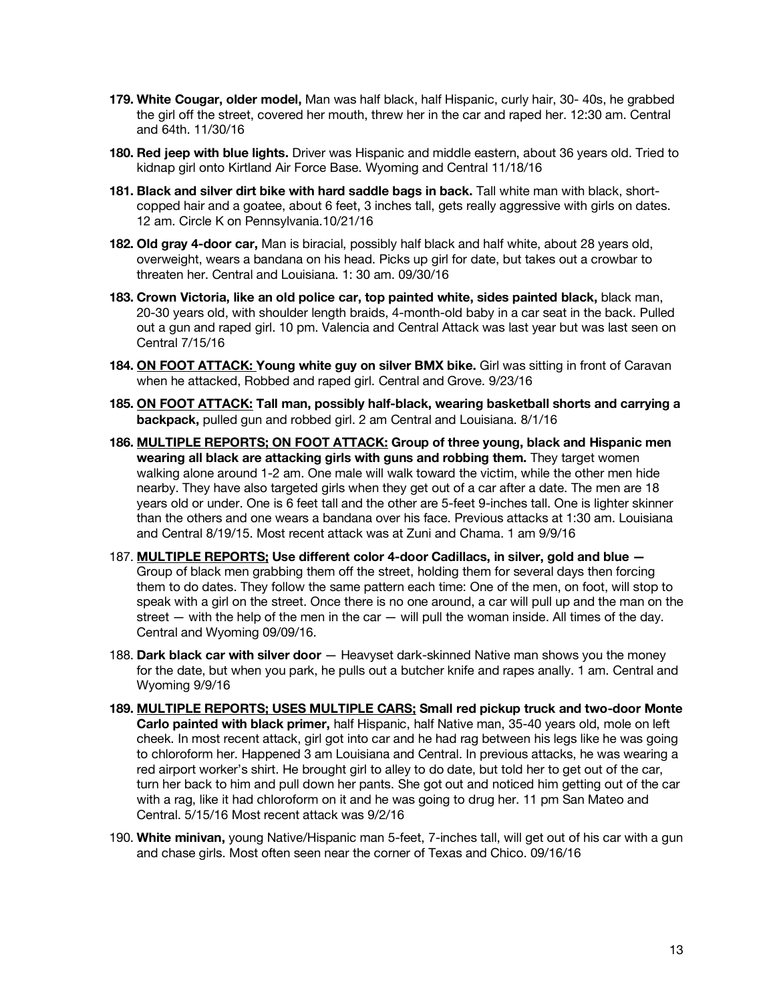- **179. White Cougar, older model,** Man was half black, half Hispanic, curly hair, 30- 40s, he grabbed the girl off the street, covered her mouth, threw her in the car and raped her. 12:30 am. Central and 64th. 11/30/16
- **180. Red jeep with blue lights.** Driver was Hispanic and middle eastern, about 36 years old. Tried to kidnap girl onto Kirtland Air Force Base. Wyoming and Central 11/18/16
- **181. Black and silver dirt bike with hard saddle bags in back.** Tall white man with black, shortcopped hair and a goatee, about 6 feet, 3 inches tall, gets really aggressive with girls on dates. 12 am. Circle K on Pennsylvania.10/21/16
- **182. Old gray 4-door car,** Man is biracial, possibly half black and half white, about 28 years old, overweight, wears a bandana on his head. Picks up girl for date, but takes out a crowbar to threaten her. Central and Louisiana. 1: 30 am. 09/30/16
- **183. Crown Victoria, like an old police car, top painted white, sides painted black,** black man, 20-30 years old, with shoulder length braids, 4-month-old baby in a car seat in the back. Pulled out a gun and raped girl. 10 pm. Valencia and Central Attack was last year but was last seen on Central 7/15/16
- **184. ON FOOT ATTACK: Young white guy on silver BMX bike.** Girl was sitting in front of Caravan when he attacked, Robbed and raped girl. Central and Grove. 9/23/16
- **185. ON FOOT ATTACK: Tall man, possibly half-black, wearing basketball shorts and carrying a backpack,** pulled gun and robbed girl. 2 am Central and Louisiana. 8/1/16
- **186. MULTIPLE REPORTS; ON FOOT ATTACK: Group of three young, black and Hispanic men wearing all black are attacking girls with guns and robbing them.** They target women walking alone around 1-2 am. One male will walk toward the victim, while the other men hide nearby. They have also targeted girls when they get out of a car after a date. The men are 18 years old or under. One is 6 feet tall and the other are 5-feet 9-inches tall. One is lighter skinner than the others and one wears a bandana over his face. Previous attacks at 1:30 am. Louisiana and Central 8/19/15. Most recent attack was at Zuni and Chama. 1 am 9/9/16
- 187. **MULTIPLE REPORTS; Use different color 4-door Cadillacs, in silver, gold and blue —** Group of black men grabbing them off the street, holding them for several days then forcing them to do dates. They follow the same pattern each time: One of the men, on foot, will stop to speak with a girl on the street. Once there is no one around, a car will pull up and the man on the street  $-$  with the help of the men in the car  $-$  will pull the woman inside. All times of the day. Central and Wyoming 09/09/16.
- 188. **Dark black car with silver door** Heavyset dark-skinned Native man shows you the money for the date, but when you park, he pulls out a butcher knife and rapes anally. 1 am. Central and Wyoming 9/9/16
- **189. MULTIPLE REPORTS; USES MULTIPLE CARS; Small red pickup truck and two-door Monte Carlo painted with black primer,** half Hispanic, half Native man, 35-40 years old, mole on left cheek. In most recent attack, girl got into car and he had rag between his legs like he was going to chloroform her. Happened 3 am Louisiana and Central. In previous attacks, he was wearing a red airport worker's shirt. He brought girl to alley to do date, but told her to get out of the car, turn her back to him and pull down her pants. She got out and noticed him getting out of the car with a rag, like it had chloroform on it and he was going to drug her. 11 pm San Mateo and Central. 5/15/16 Most recent attack was 9/2/16
- 190. **White minivan,** young Native/Hispanic man 5-feet, 7-inches tall, will get out of his car with a gun and chase girls. Most often seen near the corner of Texas and Chico. 09/16/16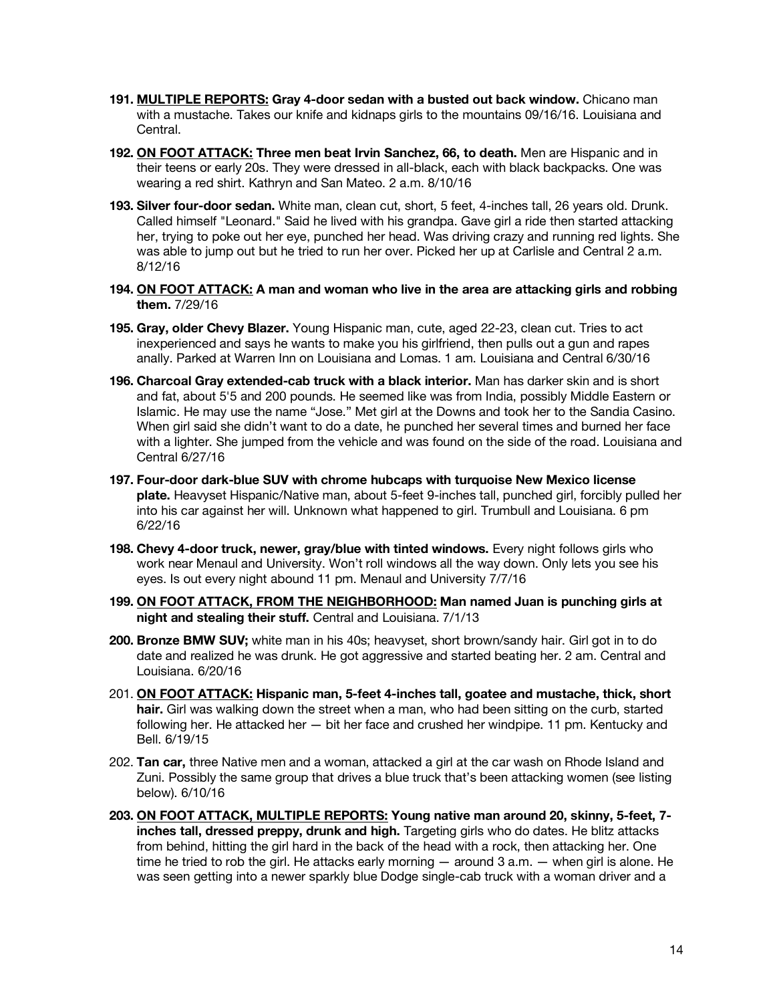- **191. MULTIPLE REPORTS: Gray 4-door sedan with a busted out back window.** Chicano man with a mustache. Takes our knife and kidnaps girls to the mountains 09/16/16. Louisiana and Central.
- **192. ON FOOT ATTACK: Three men beat Irvin Sanchez, 66, to death.** Men are Hispanic and in their teens or early 20s. They were dressed in all-black, each with black backpacks. One was wearing a red shirt. Kathryn and San Mateo. 2 a.m. 8/10/16
- **193. Silver four-door sedan.** White man, clean cut, short, 5 feet, 4-inches tall, 26 years old. Drunk. Called himself "Leonard." Said he lived with his grandpa. Gave girl a ride then started attacking her, trying to poke out her eye, punched her head. Was driving crazy and running red lights. She was able to jump out but he tried to run her over. Picked her up at Carlisle and Central 2 a.m. 8/12/16
- **194. ON FOOT ATTACK: A man and woman who live in the area are attacking girls and robbing them.** 7/29/16
- **195. Gray, older Chevy Blazer.** Young Hispanic man, cute, aged 22-23, clean cut. Tries to act inexperienced and says he wants to make you his girlfriend, then pulls out a gun and rapes anally. Parked at Warren Inn on Louisiana and Lomas. 1 am. Louisiana and Central 6/30/16
- **196. Charcoal Gray extended-cab truck with a black interior.** Man has darker skin and is short and fat, about 5'5 and 200 pounds. He seemed like was from India, possibly Middle Eastern or Islamic. He may use the name "Jose." Met girl at the Downs and took her to the Sandia Casino. When girl said she didn't want to do a date, he punched her several times and burned her face with a lighter. She jumped from the vehicle and was found on the side of the road. Louisiana and Central 6/27/16
- **197. Four-door dark-blue SUV with chrome hubcaps with turquoise New Mexico license plate.** Heavyset Hispanic/Native man, about 5-feet 9-inches tall, punched girl, forcibly pulled her into his car against her will. Unknown what happened to girl. Trumbull and Louisiana. 6 pm 6/22/16
- **198. Chevy 4-door truck, newer, gray/blue with tinted windows.** Every night follows girls who work near Menaul and University. Won't roll windows all the way down. Only lets you see his eyes. Is out every night abound 11 pm. Menaul and University 7/7/16
- **199. ON FOOT ATTACK, FROM THE NEIGHBORHOOD: Man named Juan is punching girls at night and stealing their stuff.** Central and Louisiana. 7/1/13
- **200. Bronze BMW SUV;** white man in his 40s; heavyset, short brown/sandy hair. Girl got in to do date and realized he was drunk. He got aggressive and started beating her. 2 am. Central and Louisiana. 6/20/16
- 201. **ON FOOT ATTACK: Hispanic man, 5-feet 4-inches tall, goatee and mustache, thick, short hair.** Girl was walking down the street when a man, who had been sitting on the curb, started following her. He attacked her - bit her face and crushed her windpipe. 11 pm. Kentucky and Bell. 6/19/15
- 202. **Tan car,** three Native men and a woman, attacked a girl at the car wash on Rhode Island and Zuni. Possibly the same group that drives a blue truck that's been attacking women (see listing below). 6/10/16
- **203. ON FOOT ATTACK, MULTIPLE REPORTS: Young native man around 20, skinny, 5-feet, 7 inches tall, dressed preppy, drunk and high.** Targeting girls who do dates. He blitz attacks from behind, hitting the girl hard in the back of the head with a rock, then attacking her. One time he tried to rob the girl. He attacks early morning — around 3 a.m. — when girl is alone. He was seen getting into a newer sparkly blue Dodge single-cab truck with a woman driver and a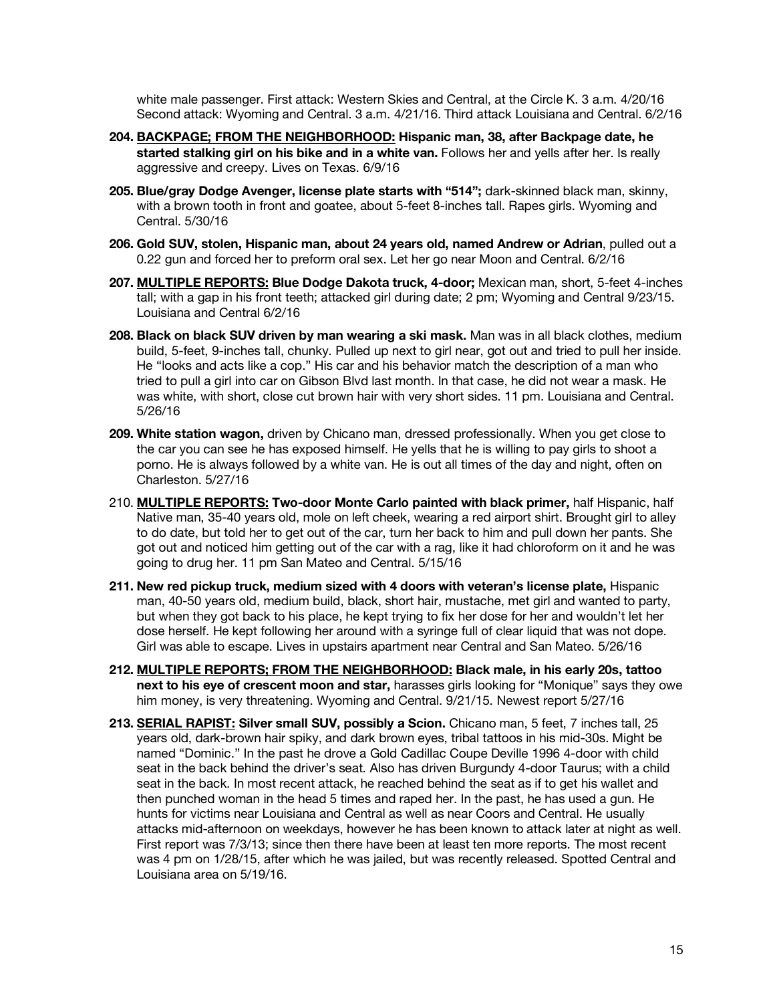white male passenger. First attack: Western Skies and Central, at the Circle K. 3 a.m. 4/20/16 Second attack: Wyoming and Central. 3 a.m. 4/21/16. Third attack Louisiana and Central. 6/2/16

- **204. BACKPAGE; FROM THE NEIGHBORHOOD: Hispanic man, 38, after Backpage date, he started stalking girl on his bike and in a white van.** Follows her and yells after her. Is really aggressive and creepy. Lives on Texas. 6/9/16
- **205. Blue/gray Dodge Avenger, license plate starts with "514";** dark-skinned black man, skinny, with a brown tooth in front and goatee, about 5-feet 8-inches tall. Rapes girls. Wyoming and Central. 5/30/16
- **206. Gold SUV, stolen, Hispanic man, about 24 years old, named Andrew or Adrian**, pulled out a 0.22 gun and forced her to preform oral sex. Let her go near Moon and Central. 6/2/16
- **207. MULTIPLE REPORTS: Blue Dodge Dakota truck, 4-door;** Mexican man, short, 5-feet 4-inches tall; with a gap in his front teeth; attacked girl during date; 2 pm; Wyoming and Central 9/23/15. Louisiana and Central 6/2/16
- **208. Black on black SUV driven by man wearing a ski mask.** Man was in all black clothes, medium build, 5-feet, 9-inches tall, chunky. Pulled up next to girl near, got out and tried to pull her inside. He "looks and acts like a cop." His car and his behavior match the description of a man who tried to pull a girl into car on Gibson Blvd last month. In that case, he did not wear a mask. He was white, with short, close cut brown hair with very short sides. 11 pm. Louisiana and Central. 5/26/16
- **209. White station wagon,** driven by Chicano man, dressed professionally. When you get close to the car you can see he has exposed himself. He yells that he is willing to pay girls to shoot a porno. He is always followed by a white van. He is out all times of the day and night, often on Charleston. 5/27/16
- 210. **MULTIPLE REPORTS: Two-door Monte Carlo painted with black primer,** half Hispanic, half Native man, 35-40 years old, mole on left cheek, wearing a red airport shirt. Brought girl to alley to do date, but told her to get out of the car, turn her back to him and pull down her pants. She got out and noticed him getting out of the car with a rag, like it had chloroform on it and he was going to drug her. 11 pm San Mateo and Central. 5/15/16
- **211. New red pickup truck, medium sized with 4 doors with veteran's license plate,** Hispanic man, 40-50 years old, medium build, black, short hair, mustache, met girl and wanted to party, but when they got back to his place, he kept trying to fix her dose for her and wouldn't let her dose herself. He kept following her around with a syringe full of clear liquid that was not dope. Girl was able to escape. Lives in upstairs apartment near Central and San Mateo. 5/26/16
- **212. MULTIPLE REPORTS; FROM THE NEIGHBORHOOD: Black male, in his early 20s, tattoo next to his eye of crescent moon and star,** harasses girls looking for "Monique" says they owe him money, is very threatening. Wyoming and Central. 9/21/15. Newest report 5/27/16
- **213. SERIAL RAPIST: Silver small SUV, possibly a Scion.** Chicano man, 5 feet, 7 inches tall, 25 years old, dark-brown hair spiky, and dark brown eyes, tribal tattoos in his mid-30s. Might be named "Dominic." In the past he drove a Gold Cadillac Coupe Deville 1996 4-door with child seat in the back behind the driver's seat. Also has driven Burgundy 4-door Taurus; with a child seat in the back. In most recent attack, he reached behind the seat as if to get his wallet and then punched woman in the head 5 times and raped her. In the past, he has used a gun. He hunts for victims near Louisiana and Central as well as near Coors and Central. He usually attacks mid-afternoon on weekdays, however he has been known to attack later at night as well. First report was 7/3/13; since then there have been at least ten more reports. The most recent was 4 pm on 1/28/15, after which he was jailed, but was recently released. Spotted Central and Louisiana area on 5/19/16.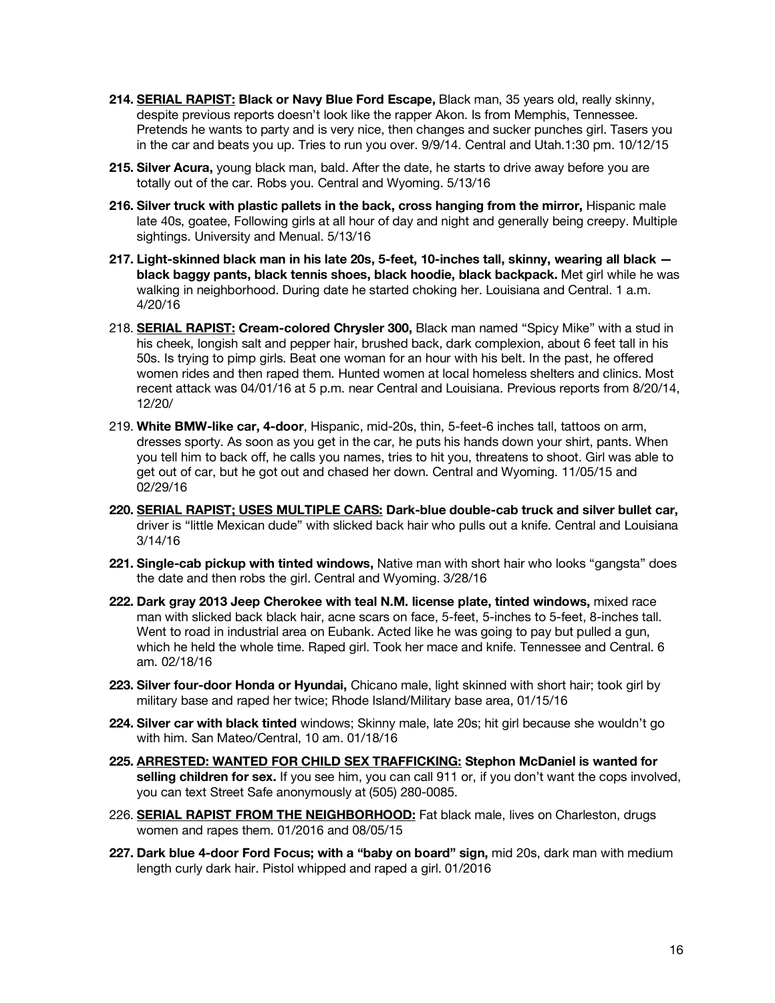- **214. SERIAL RAPIST: Black or Navy Blue Ford Escape,** Black man, 35 years old, really skinny, despite previous reports doesn't look like the rapper Akon. Is from Memphis, Tennessee. Pretends he wants to party and is very nice, then changes and sucker punches girl. Tasers you in the car and beats you up. Tries to run you over. 9/9/14. Central and Utah.1:30 pm. 10/12/15
- **215. Silver Acura,** young black man, bald. After the date, he starts to drive away before you are totally out of the car. Robs you. Central and Wyoming. 5/13/16
- **216. Silver truck with plastic pallets in the back, cross hanging from the mirror,** Hispanic male late 40s, goatee, Following girls at all hour of day and night and generally being creepy. Multiple sightings. University and Menual. 5/13/16
- **217. Light-skinned black man in his late 20s, 5-feet, 10-inches tall, skinny, wearing all black black baggy pants, black tennis shoes, black hoodie, black backpack.** Met girl while he was walking in neighborhood. During date he started choking her. Louisiana and Central. 1 a.m. 4/20/16
- 218. **SERIAL RAPIST: Cream-colored Chrysler 300,** Black man named "Spicy Mike" with a stud in his cheek, longish salt and pepper hair, brushed back, dark complexion, about 6 feet tall in his 50s. Is trying to pimp girls. Beat one woman for an hour with his belt. In the past, he offered women rides and then raped them. Hunted women at local homeless shelters and clinics. Most recent attack was 04/01/16 at 5 p.m. near Central and Louisiana. Previous reports from 8/20/14, 12/20/
- 219. **White BMW-like car, 4-door**, Hispanic, mid-20s, thin, 5-feet-6 inches tall, tattoos on arm, dresses sporty. As soon as you get in the car, he puts his hands down your shirt, pants. When you tell him to back off, he calls you names, tries to hit you, threatens to shoot. Girl was able to get out of car, but he got out and chased her down. Central and Wyoming. 11/05/15 and 02/29/16
- **220. SERIAL RAPIST; USES MULTIPLE CARS: Dark-blue double-cab truck and silver bullet car,** driver is "little Mexican dude" with slicked back hair who pulls out a knife. Central and Louisiana 3/14/16
- **221. Single-cab pickup with tinted windows,** Native man with short hair who looks "gangsta" does the date and then robs the girl. Central and Wyoming. 3/28/16
- **222. Dark gray 2013 Jeep Cherokee with teal N.M. license plate, tinted windows,** mixed race man with slicked back black hair, acne scars on face, 5-feet, 5-inches to 5-feet, 8-inches tall. Went to road in industrial area on Eubank. Acted like he was going to pay but pulled a gun, which he held the whole time. Raped girl. Took her mace and knife. Tennessee and Central. 6 am. 02/18/16
- **223. Silver four-door Honda or Hyundai,** Chicano male, light skinned with short hair; took girl by military base and raped her twice; Rhode Island/Military base area, 01/15/16
- **224. Silver car with black tinted** windows; Skinny male, late 20s; hit girl because she wouldn't go with him. San Mateo/Central, 10 am. 01/18/16
- **225. ARRESTED: WANTED FOR CHILD SEX TRAFFICKING: Stephon McDaniel is wanted for selling children for sex.** If you see him, you can call 911 or, if you don't want the cops involved, you can text Street Safe anonymously at (505) 280-0085.
- 226. **SERIAL RAPIST FROM THE NEIGHBORHOOD:** Fat black male, lives on Charleston, drugs women and rapes them. 01/2016 and 08/05/15
- **227. Dark blue 4-door Ford Focus; with a "baby on board" sign,** mid 20s, dark man with medium length curly dark hair. Pistol whipped and raped a girl. 01/2016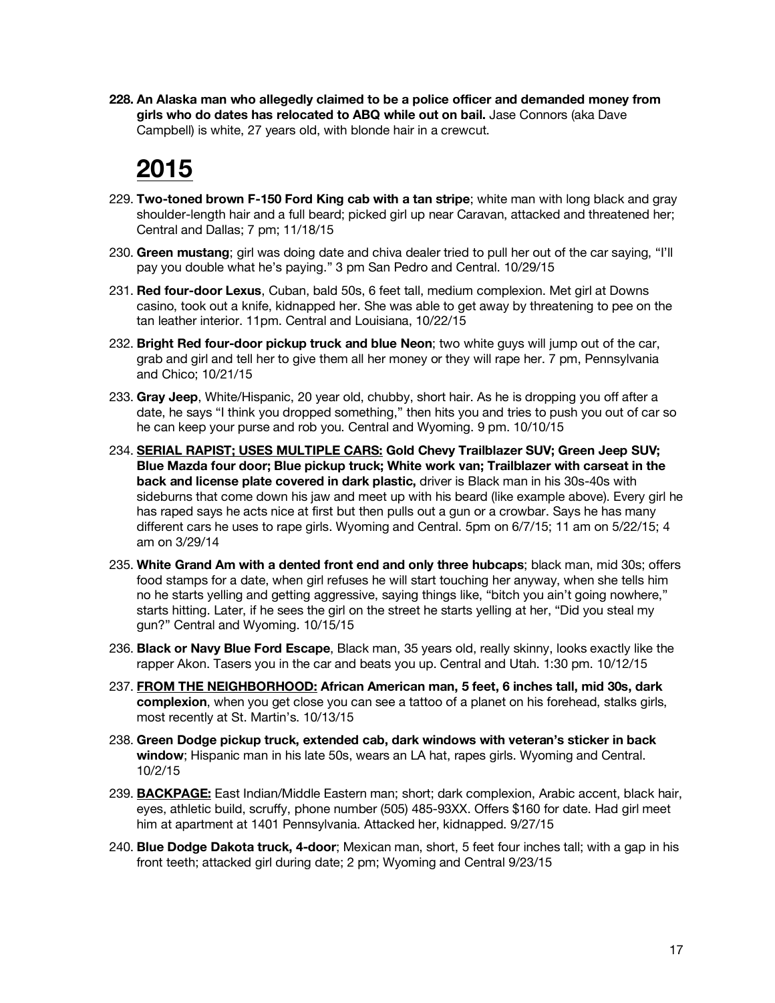**228. An Alaska man who allegedly claimed to be a police officer and demanded money from girls who do dates has relocated to ABQ while out on bail.** Jase Connors (aka Dave Campbell) is white, 27 years old, with blonde hair in a crewcut.

- 229. **Two-toned brown F-150 Ford King cab with a tan stripe**; white man with long black and gray shoulder-length hair and a full beard; picked girl up near Caravan, attacked and threatened her; Central and Dallas; 7 pm; 11/18/15
- 230. **Green mustang**; girl was doing date and chiva dealer tried to pull her out of the car saying, "I'll pay you double what he's paying." 3 pm San Pedro and Central. 10/29/15
- 231. **Red four-door Lexus**, Cuban, bald 50s, 6 feet tall, medium complexion. Met girl at Downs casino, took out a knife, kidnapped her. She was able to get away by threatening to pee on the tan leather interior. 11pm. Central and Louisiana, 10/22/15
- 232. **Bright Red four-door pickup truck and blue Neon**; two white guys will jump out of the car, grab and girl and tell her to give them all her money or they will rape her. 7 pm, Pennsylvania and Chico; 10/21/15
- 233. **Gray Jeep**, White/Hispanic, 20 year old, chubby, short hair. As he is dropping you off after a date, he says "I think you dropped something," then hits you and tries to push you out of car so he can keep your purse and rob you. Central and Wyoming. 9 pm. 10/10/15
- 234. **SERIAL RAPIST; USES MULTIPLE CARS: Gold Chevy Trailblazer SUV; Green Jeep SUV; Blue Mazda four door; Blue pickup truck; White work van; Trailblazer with carseat in the back and license plate covered in dark plastic,** driver is Black man in his 30s-40s with sideburns that come down his jaw and meet up with his beard (like example above). Every girl he has raped says he acts nice at first but then pulls out a gun or a crowbar. Says he has many different cars he uses to rape girls. Wyoming and Central. 5pm on 6/7/15; 11 am on 5/22/15; 4 am on 3/29/14
- 235. **White Grand Am with a dented front end and only three hubcaps**; black man, mid 30s; offers food stamps for a date, when girl refuses he will start touching her anyway, when she tells him no he starts yelling and getting aggressive, saying things like, "bitch you ain't going nowhere," starts hitting. Later, if he sees the girl on the street he starts yelling at her, "Did you steal my gun?" Central and Wyoming. 10/15/15
- 236. **Black or Navy Blue Ford Escape**, Black man, 35 years old, really skinny, looks exactly like the rapper Akon. Tasers you in the car and beats you up. Central and Utah. 1:30 pm. 10/12/15
- 237. **FROM THE NEIGHBORHOOD: African American man, 5 feet, 6 inches tall, mid 30s, dark complexion**, when you get close you can see a tattoo of a planet on his forehead, stalks girls, most recently at St. Martin's. 10/13/15
- 238. **Green Dodge pickup truck, extended cab, dark windows with veteran's sticker in back window**; Hispanic man in his late 50s, wears an LA hat, rapes girls. Wyoming and Central. 10/2/15
- 239. **BACKPAGE:** East Indian/Middle Eastern man; short; dark complexion, Arabic accent, black hair, eyes, athletic build, scruffy, phone number (505) 485-93XX. Offers \$160 for date. Had girl meet him at apartment at 1401 Pennsylvania. Attacked her, kidnapped. 9/27/15
- 240. **Blue Dodge Dakota truck, 4-door**; Mexican man, short, 5 feet four inches tall; with a gap in his front teeth; attacked girl during date; 2 pm; Wyoming and Central 9/23/15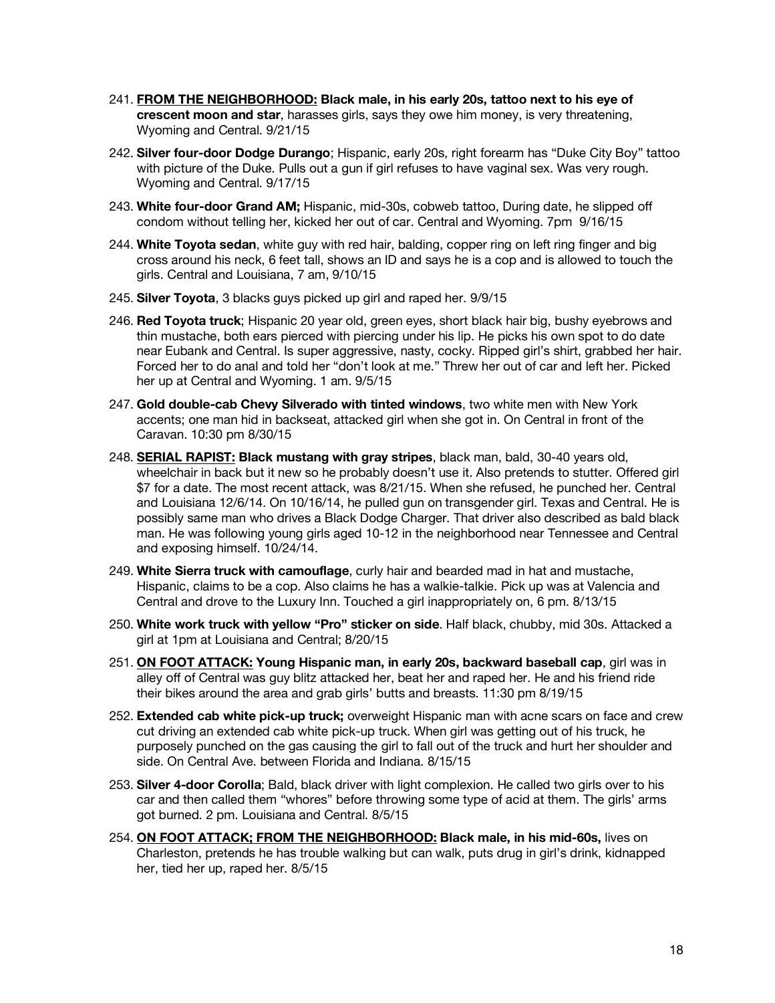- 241. **FROM THE NEIGHBORHOOD: Black male, in his early 20s, tattoo next to his eye of crescent moon and star**, harasses girls, says they owe him money, is very threatening, Wyoming and Central. 9/21/15
- 242. **Silver four-door Dodge Durango**; Hispanic, early 20s, right forearm has "Duke City Boy" tattoo with picture of the Duke. Pulls out a gun if girl refuses to have vaginal sex. Was very rough. Wyoming and Central. 9/17/15
- 243. **White four-door Grand AM;** Hispanic, mid-30s, cobweb tattoo, During date, he slipped off condom without telling her, kicked her out of car. Central and Wyoming. 7pm 9/16/15
- 244. **White Toyota sedan**, white guy with red hair, balding, copper ring on left ring finger and big cross around his neck, 6 feet tall, shows an ID and says he is a cop and is allowed to touch the girls. Central and Louisiana, 7 am, 9/10/15
- 245. **Silver Toyota**, 3 blacks guys picked up girl and raped her. 9/9/15
- 246. **Red Toyota truck**; Hispanic 20 year old, green eyes, short black hair big, bushy eyebrows and thin mustache, both ears pierced with piercing under his lip. He picks his own spot to do date near Eubank and Central. Is super aggressive, nasty, cocky. Ripped girl's shirt, grabbed her hair. Forced her to do anal and told her "don't look at me." Threw her out of car and left her. Picked her up at Central and Wyoming. 1 am. 9/5/15
- 247. **Gold double-cab Chevy Silverado with tinted windows**, two white men with New York accents; one man hid in backseat, attacked girl when she got in. On Central in front of the Caravan. 10:30 pm 8/30/15
- 248. **SERIAL RAPIST: Black mustang with gray stripes**, black man, bald, 30-40 years old, wheelchair in back but it new so he probably doesn't use it. Also pretends to stutter. Offered girl \$7 for a date. The most recent attack, was 8/21/15. When she refused, he punched her. Central and Louisiana 12/6/14. On 10/16/14, he pulled gun on transgender girl. Texas and Central. He is possibly same man who drives a Black Dodge Charger. That driver also described as bald black man. He was following young girls aged 10-12 in the neighborhood near Tennessee and Central and exposing himself. 10/24/14.
- 249. **White Sierra truck with camouflage**, curly hair and bearded mad in hat and mustache, Hispanic, claims to be a cop. Also claims he has a walkie-talkie. Pick up was at Valencia and Central and drove to the Luxury Inn. Touched a girl inappropriately on, 6 pm. 8/13/15
- 250. **White work truck with yellow "Pro" sticker on side**. Half black, chubby, mid 30s. Attacked a girl at 1pm at Louisiana and Central; 8/20/15
- 251. **ON FOOT ATTACK: Young Hispanic man, in early 20s, backward baseball cap**, girl was in alley off of Central was guy blitz attacked her, beat her and raped her. He and his friend ride their bikes around the area and grab girls' butts and breasts. 11:30 pm 8/19/15
- 252. **Extended cab white pick-up truck;** overweight Hispanic man with acne scars on face and crew cut driving an extended cab white pick-up truck. When girl was getting out of his truck, he purposely punched on the gas causing the girl to fall out of the truck and hurt her shoulder and side. On Central Ave. between Florida and Indiana. 8/15/15
- 253. **Silver 4-door Corolla**; Bald, black driver with light complexion. He called two girls over to his car and then called them "whores" before throwing some type of acid at them. The girls' arms got burned. 2 pm. Louisiana and Central. 8/5/15
- 254. **ON FOOT ATTACK; FROM THE NEIGHBORHOOD: Black male, in his mid-60s,** lives on Charleston, pretends he has trouble walking but can walk, puts drug in girl's drink, kidnapped her, tied her up, raped her. 8/5/15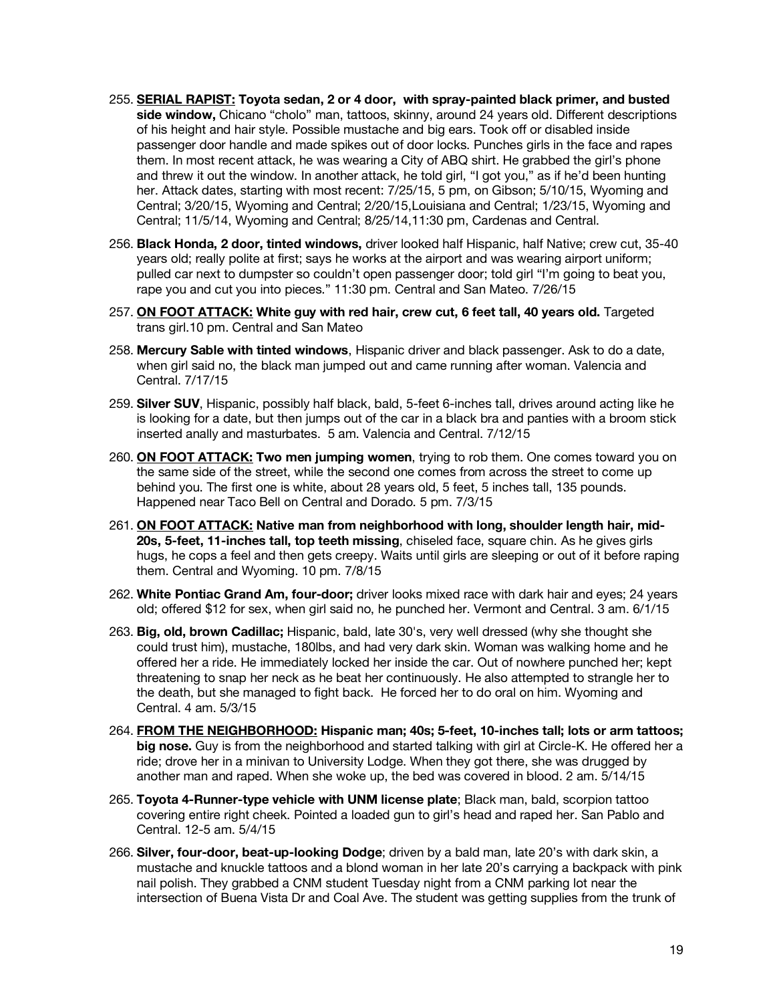- 255. **SERIAL RAPIST: Toyota sedan, 2 or 4 door, with spray-painted black primer, and busted side window,** Chicano "cholo" man, tattoos, skinny, around 24 years old. Different descriptions of his height and hair style. Possible mustache and big ears. Took off or disabled inside passenger door handle and made spikes out of door locks. Punches girls in the face and rapes them. In most recent attack, he was wearing a City of ABQ shirt. He grabbed the girl's phone and threw it out the window. In another attack, he told girl, "I got you," as if he'd been hunting her. Attack dates, starting with most recent: 7/25/15, 5 pm, on Gibson; 5/10/15, Wyoming and Central; 3/20/15, Wyoming and Central; 2/20/15,Louisiana and Central; 1/23/15, Wyoming and Central; 11/5/14, Wyoming and Central; 8/25/14,11:30 pm, Cardenas and Central.
- 256. **Black Honda, 2 door, tinted windows,** driver looked half Hispanic, half Native; crew cut, 35-40 years old; really polite at first; says he works at the airport and was wearing airport uniform; pulled car next to dumpster so couldn't open passenger door; told girl "I'm going to beat you, rape you and cut you into pieces." 11:30 pm. Central and San Mateo. 7/26/15
- 257. **ON FOOT ATTACK: White guy with red hair, crew cut, 6 feet tall, 40 years old.** Targeted trans girl.10 pm. Central and San Mateo
- 258. **Mercury Sable with tinted windows**, Hispanic driver and black passenger. Ask to do a date, when girl said no, the black man jumped out and came running after woman. Valencia and Central. 7/17/15
- 259. **Silver SUV**, Hispanic, possibly half black, bald, 5-feet 6-inches tall, drives around acting like he is looking for a date, but then jumps out of the car in a black bra and panties with a broom stick inserted anally and masturbates. 5 am. Valencia and Central. 7/12/15
- 260. **ON FOOT ATTACK: Two men jumping women**, trying to rob them. One comes toward you on the same side of the street, while the second one comes from across the street to come up behind you. The first one is white, about 28 years old, 5 feet, 5 inches tall, 135 pounds. Happened near Taco Bell on Central and Dorado. 5 pm. 7/3/15
- 261. **ON FOOT ATTACK: Native man from neighborhood with long, shoulder length hair, mid-20s, 5-feet, 11-inches tall, top teeth missing**, chiseled face, square chin. As he gives girls hugs, he cops a feel and then gets creepy. Waits until girls are sleeping or out of it before raping them. Central and Wyoming. 10 pm. 7/8/15
- 262. **White Pontiac Grand Am, four-door;** driver looks mixed race with dark hair and eyes; 24 years old; offered \$12 for sex, when girl said no, he punched her. Vermont and Central. 3 am. 6/1/15
- 263. **Big, old, brown Cadillac;** Hispanic, bald, late 30's, very well dressed (why she thought she could trust him), mustache, 180lbs, and had very dark skin. Woman was walking home and he offered her a ride. He immediately locked her inside the car. Out of nowhere punched her; kept threatening to snap her neck as he beat her continuously. He also attempted to strangle her to the death, but she managed to fight back. He forced her to do oral on him. Wyoming and Central. 4 am. 5/3/15
- 264. **FROM THE NEIGHBORHOOD: Hispanic man; 40s; 5-feet, 10-inches tall; lots or arm tattoos; big nose.** Guy is from the neighborhood and started talking with girl at Circle-K. He offered her a ride; drove her in a minivan to University Lodge. When they got there, she was drugged by another man and raped. When she woke up, the bed was covered in blood. 2 am. 5/14/15
- 265. **Toyota 4-Runner-type vehicle with UNM license plate**; Black man, bald, scorpion tattoo covering entire right cheek. Pointed a loaded gun to girl's head and raped her. San Pablo and Central. 12-5 am. 5/4/15
- 266. **Silver, four-door, beat-up-looking Dodge**; driven by a bald man, late 20's with dark skin, a mustache and knuckle tattoos and a blond woman in her late 20's carrying a backpack with pink nail polish. They grabbed a CNM student Tuesday night from a CNM parking lot near the intersection of Buena Vista Dr and Coal Ave. The student was getting supplies from the trunk of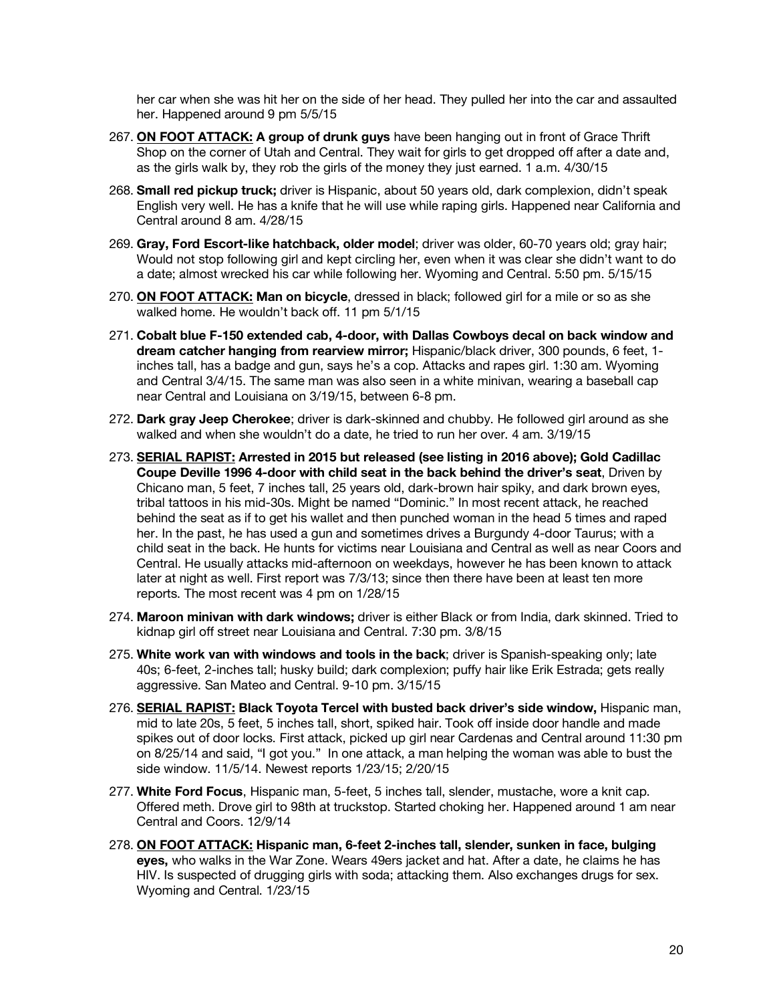her car when she was hit her on the side of her head. They pulled her into the car and assaulted her. Happened around 9 pm 5/5/15

- 267. **ON FOOT ATTACK: A group of drunk guys** have been hanging out in front of Grace Thrift Shop on the corner of Utah and Central. They wait for girls to get dropped off after a date and, as the girls walk by, they rob the girls of the money they just earned. 1 a.m. 4/30/15
- 268. **Small red pickup truck;** driver is Hispanic, about 50 years old, dark complexion, didn't speak English very well. He has a knife that he will use while raping girls. Happened near California and Central around 8 am. 4/28/15
- 269. **Gray, Ford Escort-like hatchback, older model**; driver was older, 60-70 years old; gray hair; Would not stop following girl and kept circling her, even when it was clear she didn't want to do a date; almost wrecked his car while following her. Wyoming and Central. 5:50 pm. 5/15/15
- 270. **ON FOOT ATTACK: Man on bicycle**, dressed in black; followed girl for a mile or so as she walked home. He wouldn't back off. 11 pm 5/1/15
- 271. **Cobalt blue F-150 extended cab, 4-door, with Dallas Cowboys decal on back window and dream catcher hanging from rearview mirror;** Hispanic/black driver, 300 pounds, 6 feet, 1 inches tall, has a badge and gun, says he's a cop. Attacks and rapes girl. 1:30 am. Wyoming and Central 3/4/15. The same man was also seen in a white minivan, wearing a baseball cap near Central and Louisiana on 3/19/15, between 6-8 pm.
- 272. **Dark gray Jeep Cherokee**; driver is dark-skinned and chubby. He followed girl around as she walked and when she wouldn't do a date, he tried to run her over. 4 am. 3/19/15
- 273. **SERIAL RAPIST: Arrested in 2015 but released (see listing in 2016 above); Gold Cadillac Coupe Deville 1996 4-door with child seat in the back behind the driver's seat**, Driven by Chicano man, 5 feet, 7 inches tall, 25 years old, dark-brown hair spiky, and dark brown eyes, tribal tattoos in his mid-30s. Might be named "Dominic." In most recent attack, he reached behind the seat as if to get his wallet and then punched woman in the head 5 times and raped her. In the past, he has used a gun and sometimes drives a Burgundy 4-door Taurus; with a child seat in the back. He hunts for victims near Louisiana and Central as well as near Coors and Central. He usually attacks mid-afternoon on weekdays, however he has been known to attack later at night as well. First report was 7/3/13; since then there have been at least ten more reports. The most recent was 4 pm on 1/28/15
- 274. **Maroon minivan with dark windows;** driver is either Black or from India, dark skinned. Tried to kidnap girl off street near Louisiana and Central. 7:30 pm. 3/8/15
- 275. **White work van with windows and tools in the back**; driver is Spanish-speaking only; late 40s; 6-feet, 2-inches tall; husky build; dark complexion; puffy hair like Erik Estrada; gets really aggressive. San Mateo and Central. 9-10 pm. 3/15/15
- 276. **SERIAL RAPIST: Black Toyota Tercel with busted back driver's side window,** Hispanic man, mid to late 20s, 5 feet, 5 inches tall, short, spiked hair. Took off inside door handle and made spikes out of door locks. First attack, picked up girl near Cardenas and Central around 11:30 pm on 8/25/14 and said, "I got you." In one attack, a man helping the woman was able to bust the side window. 11/5/14. Newest reports 1/23/15; 2/20/15
- 277. **White Ford Focus**, Hispanic man, 5-feet, 5 inches tall, slender, mustache, wore a knit cap. Offered meth. Drove girl to 98th at truckstop. Started choking her. Happened around 1 am near Central and Coors. 12/9/14
- 278. **ON FOOT ATTACK: Hispanic man, 6-feet 2-inches tall, slender, sunken in face, bulging eyes,** who walks in the War Zone. Wears 49ers jacket and hat. After a date, he claims he has HIV. Is suspected of drugging girls with soda; attacking them. Also exchanges drugs for sex. Wyoming and Central. 1/23/15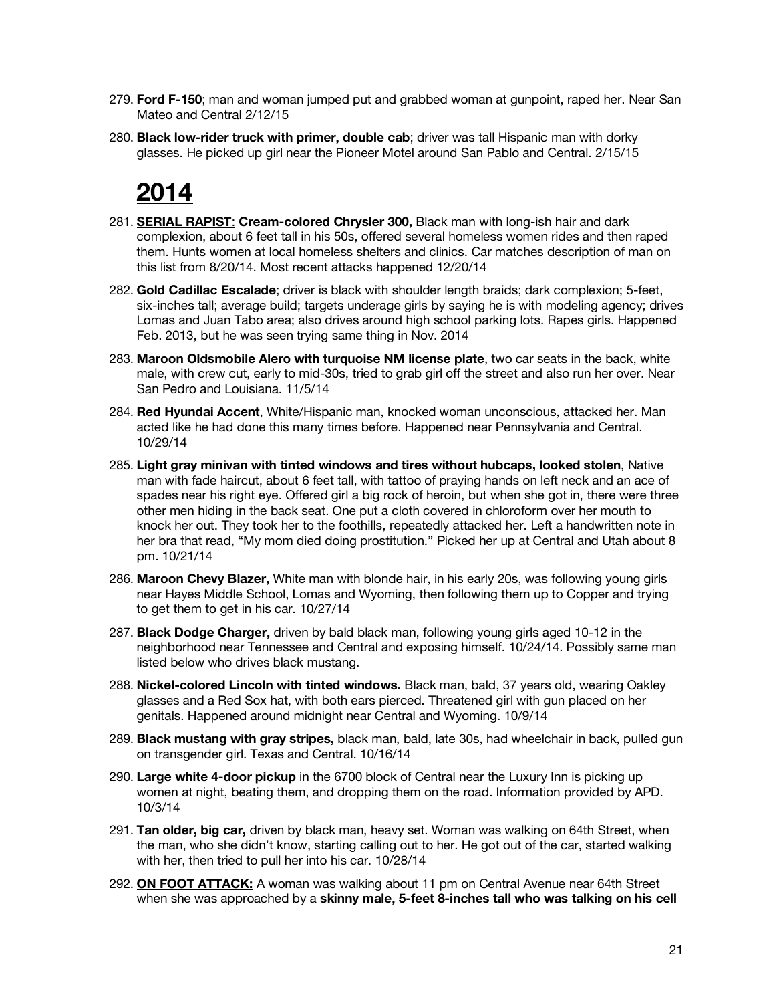- 279. **Ford F-150**; man and woman jumped put and grabbed woman at gunpoint, raped her. Near San Mateo and Central 2/12/15
- 280. **Black low-rider truck with primer, double cab**; driver was tall Hispanic man with dorky glasses. He picked up girl near the Pioneer Motel around San Pablo and Central. 2/15/15

- 281. **SERIAL RAPIST**: **Cream-colored Chrysler 300,** Black man with long-ish hair and dark complexion, about 6 feet tall in his 50s, offered several homeless women rides and then raped them. Hunts women at local homeless shelters and clinics. Car matches description of man on this list from 8/20/14. Most recent attacks happened 12/20/14
- 282. **Gold Cadillac Escalade**; driver is black with shoulder length braids; dark complexion; 5-feet, six-inches tall; average build; targets underage girls by saying he is with modeling agency; drives Lomas and Juan Tabo area; also drives around high school parking lots. Rapes girls. Happened Feb. 2013, but he was seen trying same thing in Nov. 2014
- 283. **Maroon Oldsmobile Alero with turquoise NM license plate**, two car seats in the back, white male, with crew cut, early to mid-30s, tried to grab girl off the street and also run her over. Near San Pedro and Louisiana. 11/5/14
- 284. **Red Hyundai Accent**, White/Hispanic man, knocked woman unconscious, attacked her. Man acted like he had done this many times before. Happened near Pennsylvania and Central. 10/29/14
- 285. **Light gray minivan with tinted windows and tires without hubcaps, looked stolen**, Native man with fade haircut, about 6 feet tall, with tattoo of praying hands on left neck and an ace of spades near his right eye. Offered girl a big rock of heroin, but when she got in, there were three other men hiding in the back seat. One put a cloth covered in chloroform over her mouth to knock her out. They took her to the foothills, repeatedly attacked her. Left a handwritten note in her bra that read, "My mom died doing prostitution." Picked her up at Central and Utah about 8 pm. 10/21/14
- 286. **Maroon Chevy Blazer,** White man with blonde hair, in his early 20s, was following young girls near Hayes Middle School, Lomas and Wyoming, then following them up to Copper and trying to get them to get in his car. 10/27/14
- 287. **Black Dodge Charger,** driven by bald black man, following young girls aged 10-12 in the neighborhood near Tennessee and Central and exposing himself. 10/24/14. Possibly same man listed below who drives black mustang.
- 288. **Nickel-colored Lincoln with tinted windows.** Black man, bald, 37 years old, wearing Oakley glasses and a Red Sox hat, with both ears pierced. Threatened girl with gun placed on her genitals. Happened around midnight near Central and Wyoming. 10/9/14
- 289. **Black mustang with gray stripes,** black man, bald, late 30s, had wheelchair in back, pulled gun on transgender girl. Texas and Central. 10/16/14
- 290. **Large white 4-door pickup** in the 6700 block of Central near the Luxury Inn is picking up women at night, beating them, and dropping them on the road. Information provided by APD. 10/3/14
- 291. **Tan older, big car,** driven by black man, heavy set. Woman was walking on 64th Street, when the man, who she didn't know, starting calling out to her. He got out of the car, started walking with her, then tried to pull her into his car. 10/28/14
- 292. **ON FOOT ATTACK:** A woman was walking about 11 pm on Central Avenue near 64th Street when she was approached by a **skinny male, 5-feet 8-inches tall who was talking on his cell**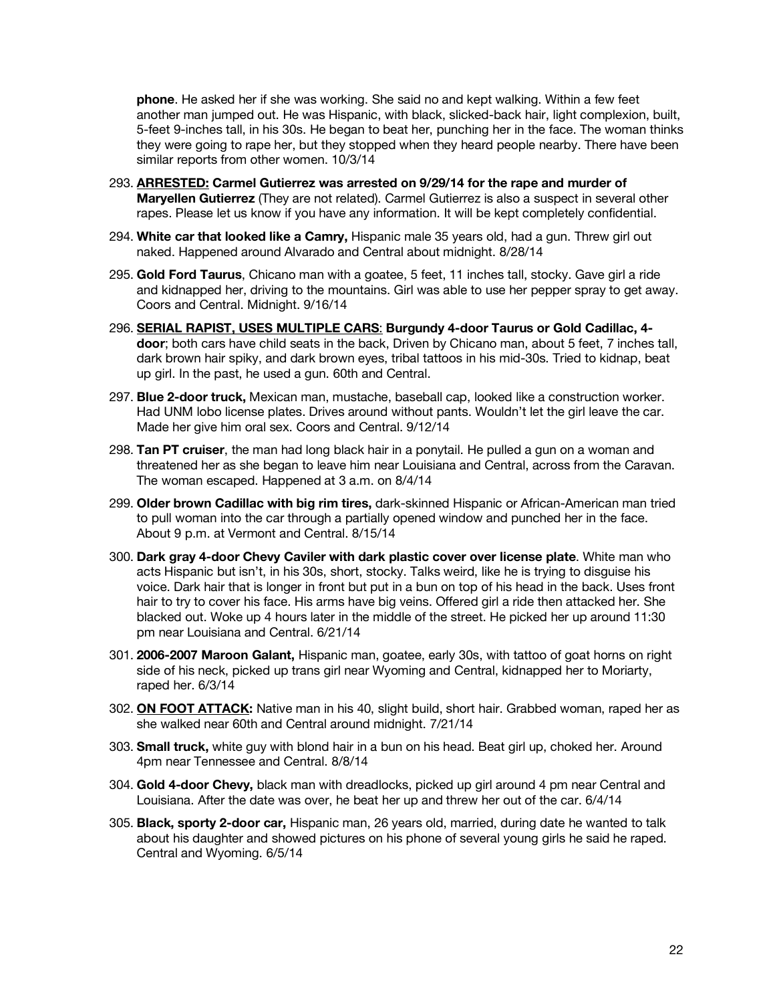**phone**. He asked her if she was working. She said no and kept walking. Within a few feet another man jumped out. He was Hispanic, with black, slicked-back hair, light complexion, built, 5-feet 9-inches tall, in his 30s. He began to beat her, punching her in the face. The woman thinks they were going to rape her, but they stopped when they heard people nearby. There have been similar reports from other women. 10/3/14

- 293. **ARRESTED: Carmel Gutierrez was arrested on 9/29/14 for the rape and murder of Maryellen Gutierrez** (They are not related). Carmel Gutierrez is also a suspect in several other rapes. Please let us know if you have any information. It will be kept completely confidential.
- 294. **White car that looked like a Camry,** Hispanic male 35 years old, had a gun. Threw girl out naked. Happened around Alvarado and Central about midnight. 8/28/14
- 295. **Gold Ford Taurus**, Chicano man with a goatee, 5 feet, 11 inches tall, stocky. Gave girl a ride and kidnapped her, driving to the mountains. Girl was able to use her pepper spray to get away. Coors and Central. Midnight. 9/16/14
- 296. **SERIAL RAPIST, USES MULTIPLE CARS**: **Burgundy 4-door Taurus or Gold Cadillac, 4 door**; both cars have child seats in the back, Driven by Chicano man, about 5 feet, 7 inches tall, dark brown hair spiky, and dark brown eyes, tribal tattoos in his mid-30s. Tried to kidnap, beat up girl. In the past, he used a gun. 60th and Central.
- 297. **Blue 2-door truck,** Mexican man, mustache, baseball cap, looked like a construction worker. Had UNM lobo license plates. Drives around without pants. Wouldn't let the girl leave the car. Made her give him oral sex. Coors and Central. 9/12/14
- 298. **Tan PT cruiser**, the man had long black hair in a ponytail. He pulled a gun on a woman and threatened her as she began to leave him near Louisiana and Central, across from the Caravan. The woman escaped. Happened at 3 a.m. on 8/4/14
- 299. **Older brown Cadillac with big rim tires,** dark-skinned Hispanic or African-American man tried to pull woman into the car through a partially opened window and punched her in the face. About 9 p.m. at Vermont and Central. 8/15/14
- 300. **Dark gray 4-door Chevy Caviler with dark plastic cover over license plate**. White man who acts Hispanic but isn't, in his 30s, short, stocky. Talks weird, like he is trying to disguise his voice. Dark hair that is longer in front but put in a bun on top of his head in the back. Uses front hair to try to cover his face. His arms have big veins. Offered girl a ride then attacked her. She blacked out. Woke up 4 hours later in the middle of the street. He picked her up around 11:30 pm near Louisiana and Central. 6/21/14
- 301. **2006-2007 Maroon Galant,** Hispanic man, goatee, early 30s, with tattoo of goat horns on right side of his neck, picked up trans girl near Wyoming and Central, kidnapped her to Moriarty, raped her. 6/3/14
- 302. **ON FOOT ATTACK:** Native man in his 40, slight build, short hair. Grabbed woman, raped her as she walked near 60th and Central around midnight. 7/21/14
- 303. **Small truck,** white guy with blond hair in a bun on his head. Beat girl up, choked her. Around 4pm near Tennessee and Central. 8/8/14
- 304. **Gold 4-door Chevy,** black man with dreadlocks, picked up girl around 4 pm near Central and Louisiana. After the date was over, he beat her up and threw her out of the car. 6/4/14
- 305. **Black, sporty 2-door car,** Hispanic man, 26 years old, married, during date he wanted to talk about his daughter and showed pictures on his phone of several young girls he said he raped. Central and Wyoming. 6/5/14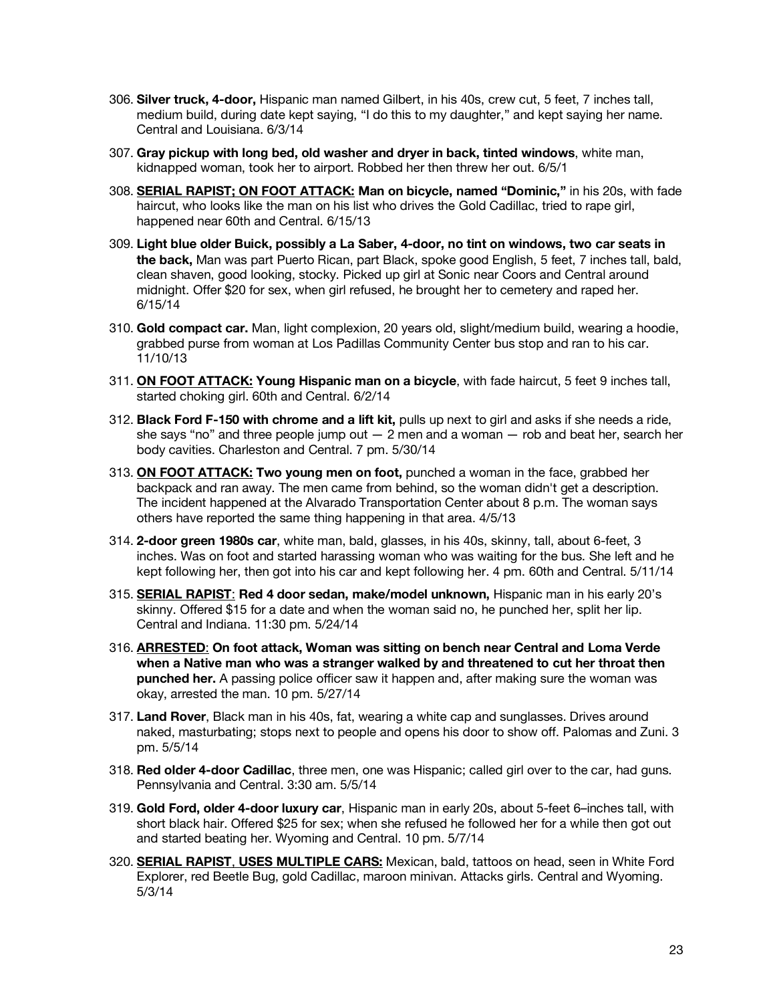- 306. **Silver truck, 4-door,** Hispanic man named Gilbert, in his 40s, crew cut, 5 feet, 7 inches tall, medium build, during date kept saying, "I do this to my daughter," and kept saying her name. Central and Louisiana. 6/3/14
- 307. **Gray pickup with long bed, old washer and dryer in back, tinted windows**, white man, kidnapped woman, took her to airport. Robbed her then threw her out. 6/5/1
- 308. **SERIAL RAPIST; ON FOOT ATTACK: Man on bicycle, named "Dominic,"** in his 20s, with fade haircut, who looks like the man on his list who drives the Gold Cadillac, tried to rape girl, happened near 60th and Central. 6/15/13
- 309. **Light blue older Buick, possibly a La Saber, 4-door, no tint on windows, two car seats in the back,** Man was part Puerto Rican, part Black, spoke good English, 5 feet, 7 inches tall, bald, clean shaven, good looking, stocky. Picked up girl at Sonic near Coors and Central around midnight. Offer \$20 for sex, when girl refused, he brought her to cemetery and raped her. 6/15/14
- 310. **Gold compact car.** Man, light complexion, 20 years old, slight/medium build, wearing a hoodie, grabbed purse from woman at Los Padillas Community Center bus stop and ran to his car. 11/10/13
- 311. **ON FOOT ATTACK: Young Hispanic man on a bicycle**, with fade haircut, 5 feet 9 inches tall, started choking girl. 60th and Central. 6/2/14
- 312. **Black Ford F-150 with chrome and a lift kit,** pulls up next to girl and asks if she needs a ride, she says "no" and three people jump out  $-2$  men and a woman  $-$  rob and beat her, search her body cavities. Charleston and Central. 7 pm. 5/30/14
- 313. **ON FOOT ATTACK: Two young men on foot,** punched a woman in the face, grabbed her backpack and ran away. The men came from behind, so the woman didn't get a description. The incident happened at the Alvarado Transportation Center about 8 p.m. The woman says others have reported the same thing happening in that area. 4/5/13
- 314. **2-door green 1980s car**, white man, bald, glasses, in his 40s, skinny, tall, about 6-feet, 3 inches. Was on foot and started harassing woman who was waiting for the bus. She left and he kept following her, then got into his car and kept following her. 4 pm. 60th and Central. 5/11/14
- 315. **SERIAL RAPIST**: **Red 4 door sedan, make/model unknown,** Hispanic man in his early 20's skinny. Offered \$15 for a date and when the woman said no, he punched her, split her lip. Central and Indiana. 11:30 pm. 5/24/14
- 316. **ARRESTED**: **On foot attack, Woman was sitting on bench near Central and Loma Verde when a Native man who was a stranger walked by and threatened to cut her throat then punched her.** A passing police officer saw it happen and, after making sure the woman was okay, arrested the man. 10 pm. 5/27/14
- 317. **Land Rover**, Black man in his 40s, fat, wearing a white cap and sunglasses. Drives around naked, masturbating; stops next to people and opens his door to show off. Palomas and Zuni. 3 pm. 5/5/14
- 318. **Red older 4-door Cadillac**, three men, one was Hispanic; called girl over to the car, had guns. Pennsylvania and Central. 3:30 am. 5/5/14
- 319. **Gold Ford, older 4-door luxury car**, Hispanic man in early 20s, about 5-feet 6–inches tall, with short black hair. Offered \$25 for sex; when she refused he followed her for a while then got out and started beating her. Wyoming and Central. 10 pm. 5/7/14
- 320. **SERIAL RAPIST**, **USES MULTIPLE CARS:** Mexican, bald, tattoos on head, seen in White Ford Explorer, red Beetle Bug, gold Cadillac, maroon minivan. Attacks girls. Central and Wyoming. 5/3/14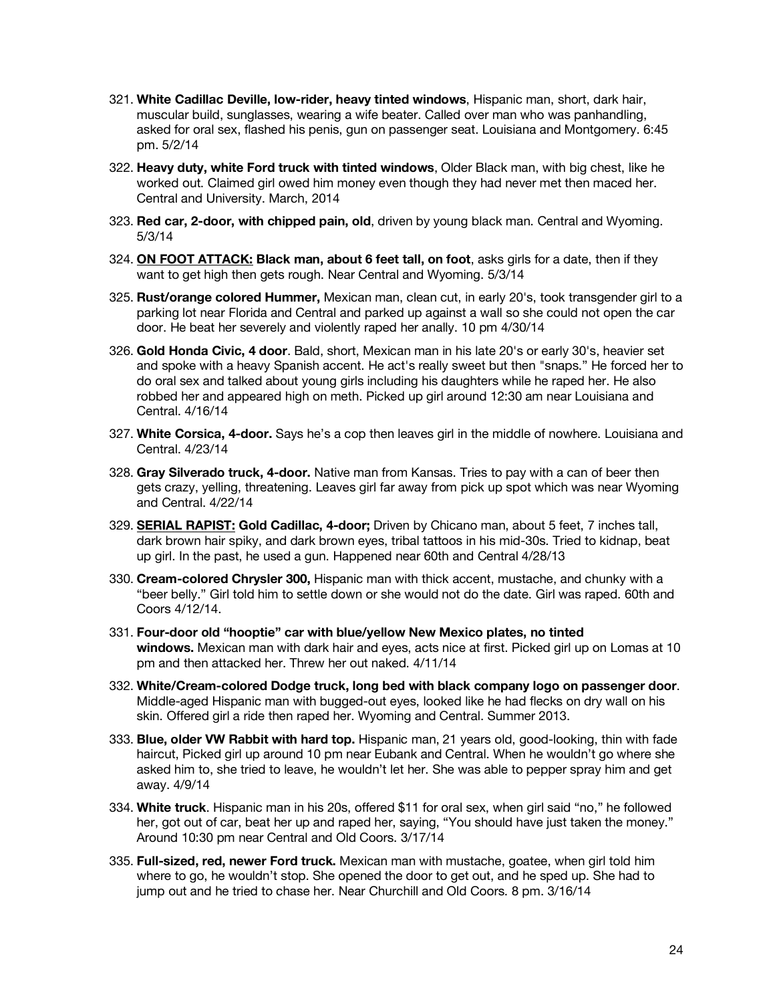- 321. **White Cadillac Deville, low-rider, heavy tinted windows**, Hispanic man, short, dark hair, muscular build, sunglasses, wearing a wife beater. Called over man who was panhandling, asked for oral sex, flashed his penis, gun on passenger seat. Louisiana and Montgomery. 6:45 pm. 5/2/14
- 322. **Heavy duty, white Ford truck with tinted windows**, Older Black man, with big chest, like he worked out. Claimed girl owed him money even though they had never met then maced her. Central and University. March, 2014
- 323. **Red car, 2-door, with chipped pain, old**, driven by young black man. Central and Wyoming. 5/3/14
- 324. **ON FOOT ATTACK: Black man, about 6 feet tall, on foot**, asks girls for a date, then if they want to get high then gets rough. Near Central and Wyoming. 5/3/14
- 325. **Rust/orange colored Hummer,** Mexican man, clean cut, in early 20's, took transgender girl to a parking lot near Florida and Central and parked up against a wall so she could not open the car door. He beat her severely and violently raped her anally. 10 pm 4/30/14
- 326. **Gold Honda Civic, 4 door**. Bald, short, Mexican man in his late 20's or early 30's, heavier set and spoke with a heavy Spanish accent. He act's really sweet but then "snaps." He forced her to do oral sex and talked about young girls including his daughters while he raped her. He also robbed her and appeared high on meth. Picked up girl around 12:30 am near Louisiana and Central. 4/16/14
- 327. **White Corsica, 4-door.** Says he's a cop then leaves girl in the middle of nowhere. Louisiana and Central. 4/23/14
- 328. **Gray Silverado truck, 4-door.** Native man from Kansas. Tries to pay with a can of beer then gets crazy, yelling, threatening. Leaves girl far away from pick up spot which was near Wyoming and Central. 4/22/14
- 329. **SERIAL RAPIST: Gold Cadillac, 4-door;** Driven by Chicano man, about 5 feet, 7 inches tall, dark brown hair spiky, and dark brown eyes, tribal tattoos in his mid-30s. Tried to kidnap, beat up girl. In the past, he used a gun. Happened near 60th and Central 4/28/13
- 330. **Cream-colored Chrysler 300,** Hispanic man with thick accent, mustache, and chunky with a "beer belly." Girl told him to settle down or she would not do the date. Girl was raped. 60th and Coors 4/12/14.
- 331. **Four-door old "hooptie" car with blue/yellow New Mexico plates, no tinted windows.** Mexican man with dark hair and eyes, acts nice at first. Picked girl up on Lomas at 10 pm and then attacked her. Threw her out naked. 4/11/14
- 332. **White/Cream-colored Dodge truck, long bed with black company logo on passenger door**. Middle-aged Hispanic man with bugged-out eyes, looked like he had flecks on dry wall on his skin. Offered girl a ride then raped her. Wyoming and Central. Summer 2013.
- 333. **Blue, older VW Rabbit with hard top.** Hispanic man, 21 years old, good-looking, thin with fade haircut, Picked girl up around 10 pm near Eubank and Central. When he wouldn't go where she asked him to, she tried to leave, he wouldn't let her. She was able to pepper spray him and get away. 4/9/14
- 334. **White truck**. Hispanic man in his 20s, offered \$11 for oral sex, when girl said "no," he followed her, got out of car, beat her up and raped her, saying, "You should have just taken the money." Around 10:30 pm near Central and Old Coors. 3/17/14
- 335. **Full-sized, red, newer Ford truck.** Mexican man with mustache, goatee, when girl told him where to go, he wouldn't stop. She opened the door to get out, and he sped up. She had to jump out and he tried to chase her. Near Churchill and Old Coors. 8 pm. 3/16/14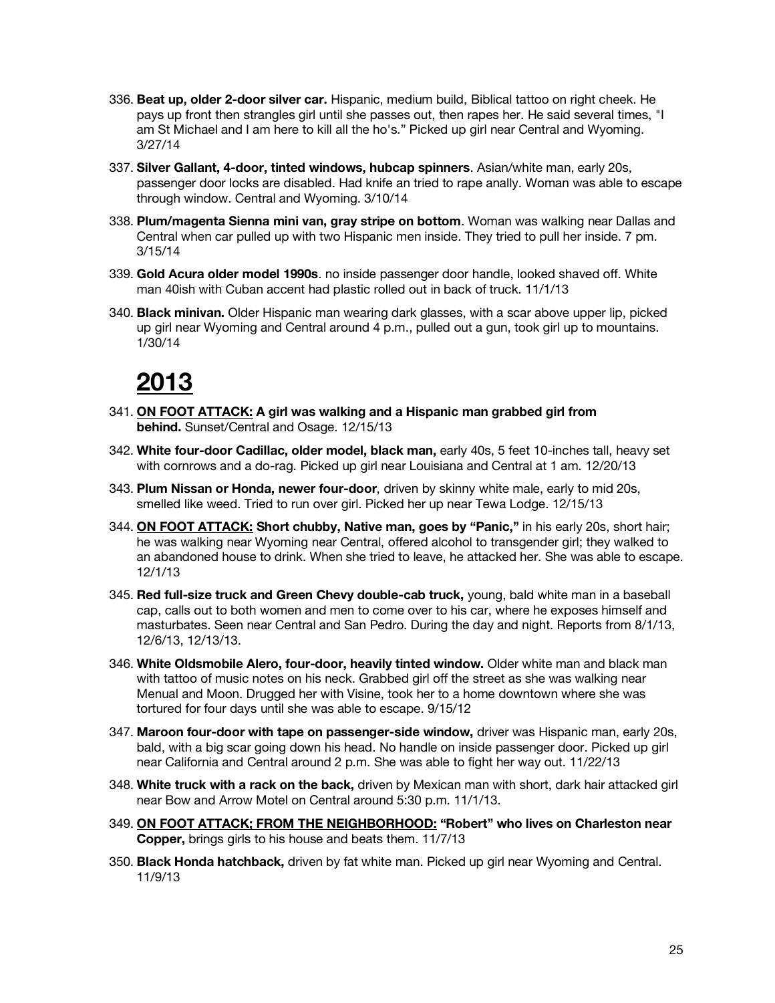- 336. **Beat up, older 2-door silver car.** Hispanic, medium build, Biblical tattoo on right cheek. He pays up front then strangles girl until she passes out, then rapes her. He said several times, "I am St Michael and I am here to kill all the ho's." Picked up girl near Central and Wyoming. 3/27/14
- 337. **Silver Gallant, 4-door, tinted windows, hubcap spinners**. Asian/white man, early 20s, passenger door locks are disabled. Had knife an tried to rape anally. Woman was able to escape through window. Central and Wyoming. 3/10/14
- 338. **Plum/magenta Sienna mini van, gray stripe on bottom**. Woman was walking near Dallas and Central when car pulled up with two Hispanic men inside. They tried to pull her inside. 7 pm. 3/15/14
- 339. **Gold Acura older model 1990s**. no inside passenger door handle, looked shaved off. White man 40ish with Cuban accent had plastic rolled out in back of truck. 11/1/13
- 340. **Black minivan.** Older Hispanic man wearing dark glasses, with a scar above upper lip, picked up girl near Wyoming and Central around 4 p.m., pulled out a gun, took girl up to mountains. 1/30/14

- 341. **ON FOOT ATTACK: A girl was walking and a Hispanic man grabbed girl from behind.** Sunset/Central and Osage. 12/15/13
- 342. **White four-door Cadillac, older model, black man,** early 40s, 5 feet 10-inches tall, heavy set with cornrows and a do-rag. Picked up girl near Louisiana and Central at 1 am. 12/20/13
- 343. **Plum Nissan or Honda, newer four-door**, driven by skinny white male, early to mid 20s, smelled like weed. Tried to run over girl. Picked her up near Tewa Lodge. 12/15/13
- 344. **ON FOOT ATTACK: Short chubby, Native man, goes by "Panic,"** in his early 20s, short hair; he was walking near Wyoming near Central, offered alcohol to transgender girl; they walked to an abandoned house to drink. When she tried to leave, he attacked her. She was able to escape. 12/1/13
- 345. **Red full-size truck and Green Chevy double-cab truck,** young, bald white man in a baseball cap, calls out to both women and men to come over to his car, where he exposes himself and masturbates. Seen near Central and San Pedro. During the day and night. Reports from 8/1/13, 12/6/13, 12/13/13.
- 346. **White Oldsmobile Alero, four-door, heavily tinted window.** Older white man and black man with tattoo of music notes on his neck. Grabbed girl off the street as she was walking near Menual and Moon. Drugged her with Visine, took her to a home downtown where she was tortured for four days until she was able to escape. 9/15/12
- 347. **Maroon four-door with tape on passenger-side window,** driver was Hispanic man, early 20s, bald, with a big scar going down his head. No handle on inside passenger door. Picked up girl near California and Central around 2 p.m. She was able to fight her way out. 11/22/13
- 348. **White truck with a rack on the back,** driven by Mexican man with short, dark hair attacked girl near Bow and Arrow Motel on Central around 5:30 p.m. 11/1/13.
- 349. **ON FOOT ATTACK; FROM THE NEIGHBORHOOD: "Robert" who lives on Charleston near Copper,** brings girls to his house and beats them. 11/7/13
- 350. **Black Honda hatchback,** driven by fat white man. Picked up girl near Wyoming and Central. 11/9/13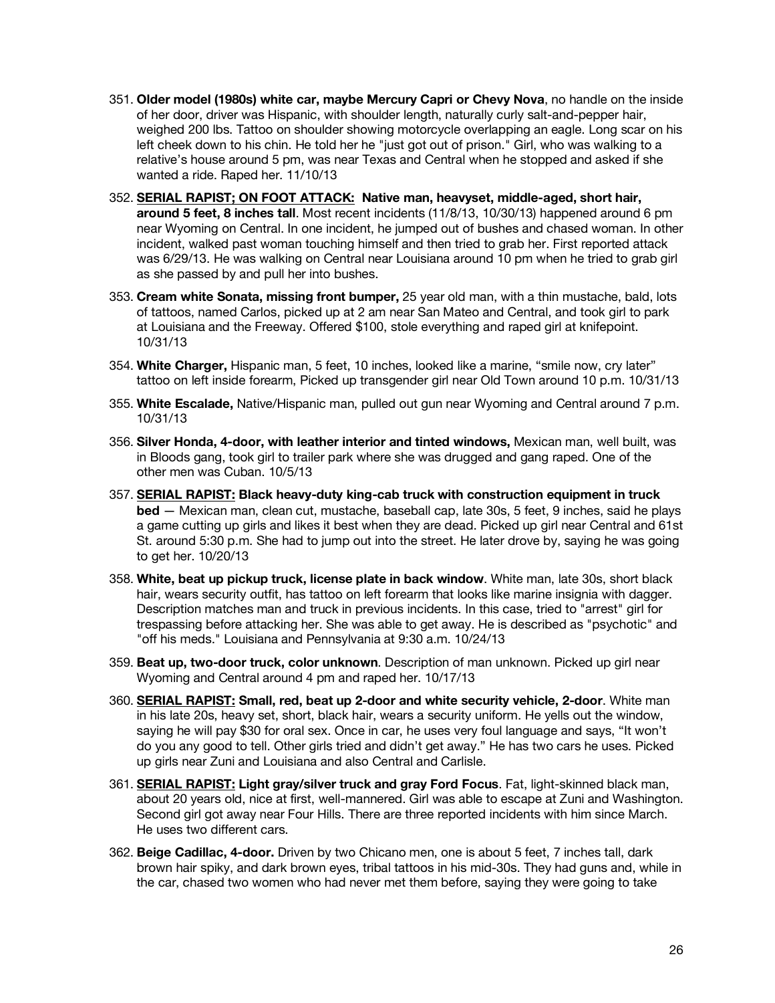- 351. **Older model (1980s) white car, maybe Mercury Capri or Chevy Nova**, no handle on the inside of her door, driver was Hispanic, with shoulder length, naturally curly salt-and-pepper hair, weighed 200 lbs. Tattoo on shoulder showing motorcycle overlapping an eagle. Long scar on his left cheek down to his chin. He told her he "just got out of prison." Girl, who was walking to a relative's house around 5 pm, was near Texas and Central when he stopped and asked if she wanted a ride. Raped her. 11/10/13
- 352. **SERIAL RAPIST; ON FOOT ATTACK: Native man, heavyset, middle-aged, short hair, around 5 feet, 8 inches tall**. Most recent incidents (11/8/13, 10/30/13) happened around 6 pm near Wyoming on Central. In one incident, he jumped out of bushes and chased woman. In other incident, walked past woman touching himself and then tried to grab her. First reported attack was 6/29/13. He was walking on Central near Louisiana around 10 pm when he tried to grab girl as she passed by and pull her into bushes.
- 353. **Cream white Sonata, missing front bumper,** 25 year old man, with a thin mustache, bald, lots of tattoos, named Carlos, picked up at 2 am near San Mateo and Central, and took girl to park at Louisiana and the Freeway. Offered \$100, stole everything and raped girl at knifepoint. 10/31/13
- 354. **White Charger,** Hispanic man, 5 feet, 10 inches, looked like a marine, "smile now, cry later" tattoo on left inside forearm, Picked up transgender girl near Old Town around 10 p.m. 10/31/13
- 355. **White Escalade,** Native/Hispanic man, pulled out gun near Wyoming and Central around 7 p.m. 10/31/13
- 356. **Silver Honda, 4-door, with leather interior and tinted windows,** Mexican man, well built, was in Bloods gang, took girl to trailer park where she was drugged and gang raped. One of the other men was Cuban. 10/5/13
- 357. **SERIAL RAPIST: Black heavy-duty king-cab truck with construction equipment in truck bed** — Mexican man, clean cut, mustache, baseball cap, late 30s, 5 feet, 9 inches, said he plays a game cutting up girls and likes it best when they are dead. Picked up girl near Central and 61st St. around 5:30 p.m. She had to jump out into the street. He later drove by, saying he was going to get her. 10/20/13
- 358. **White, beat up pickup truck, license plate in back window**. White man, late 30s, short black hair, wears security outfit, has tattoo on left forearm that looks like marine insignia with dagger. Description matches man and truck in previous incidents. In this case, tried to "arrest" girl for trespassing before attacking her. She was able to get away. He is described as "psychotic" and "off his meds." Louisiana and Pennsylvania at 9:30 a.m. 10/24/13
- 359. **Beat up, two-door truck, color unknown**. Description of man unknown. Picked up girl near Wyoming and Central around 4 pm and raped her. 10/17/13
- 360. **SERIAL RAPIST: Small, red, beat up 2-door and white security vehicle, 2-door**. White man in his late 20s, heavy set, short, black hair, wears a security uniform. He yells out the window, saying he will pay \$30 for oral sex. Once in car, he uses very foul language and says, "It won't do you any good to tell. Other girls tried and didn't get away." He has two cars he uses. Picked up girls near Zuni and Louisiana and also Central and Carlisle.
- 361. **SERIAL RAPIST: Light gray/silver truck and gray Ford Focus**. Fat, light-skinned black man, about 20 years old, nice at first, well-mannered. Girl was able to escape at Zuni and Washington. Second girl got away near Four Hills. There are three reported incidents with him since March. He uses two different cars.
- 362. **Beige Cadillac, 4-door.** Driven by two Chicano men, one is about 5 feet, 7 inches tall, dark brown hair spiky, and dark brown eyes, tribal tattoos in his mid-30s. They had guns and, while in the car, chased two women who had never met them before, saying they were going to take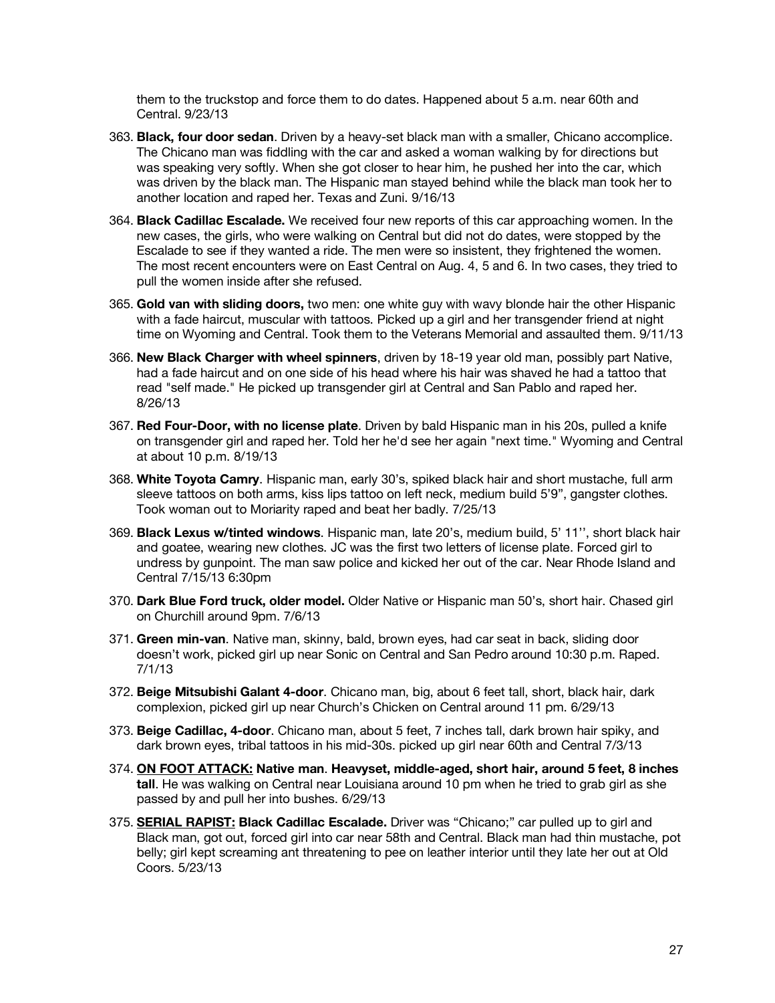them to the truckstop and force them to do dates. Happened about 5 a.m. near 60th and Central. 9/23/13

- 363. **Black, four door sedan**. Driven by a heavy-set black man with a smaller, Chicano accomplice. The Chicano man was fiddling with the car and asked a woman walking by for directions but was speaking very softly. When she got closer to hear him, he pushed her into the car, which was driven by the black man. The Hispanic man stayed behind while the black man took her to another location and raped her. Texas and Zuni. 9/16/13
- 364. **Black Cadillac Escalade.** We received four new reports of this car approaching women. In the new cases, the girls, who were walking on Central but did not do dates, were stopped by the Escalade to see if they wanted a ride. The men were so insistent, they frightened the women. The most recent encounters were on East Central on Aug. 4, 5 and 6. In two cases, they tried to pull the women inside after she refused.
- 365. **Gold van with sliding doors,** two men: one white guy with wavy blonde hair the other Hispanic with a fade haircut, muscular with tattoos. Picked up a girl and her transgender friend at night time on Wyoming and Central. Took them to the Veterans Memorial and assaulted them. 9/11/13
- 366. **New Black Charger with wheel spinners**, driven by 18-19 year old man, possibly part Native, had a fade haircut and on one side of his head where his hair was shaved he had a tattoo that read "self made." He picked up transgender girl at Central and San Pablo and raped her. 8/26/13
- 367. **Red Four-Door, with no license plate**. Driven by bald Hispanic man in his 20s, pulled a knife on transgender girl and raped her. Told her he'd see her again "next time." Wyoming and Central at about 10 p.m. 8/19/13
- 368. **White Toyota Camry**. Hispanic man, early 30's, spiked black hair and short mustache, full arm sleeve tattoos on both arms, kiss lips tattoo on left neck, medium build 5'9", gangster clothes. Took woman out to Moriarity raped and beat her badly. 7/25/13
- 369. **Black Lexus w/tinted windows**. Hispanic man, late 20's, medium build, 5' 11'', short black hair and goatee, wearing new clothes. JC was the first two letters of license plate. Forced girl to undress by gunpoint. The man saw police and kicked her out of the car. Near Rhode Island and Central 7/15/13 6:30pm
- 370. **Dark Blue Ford truck, older model.** Older Native or Hispanic man 50's, short hair. Chased girl on Churchill around 9pm. 7/6/13
- 371. **Green min-van**. Native man, skinny, bald, brown eyes, had car seat in back, sliding door doesn't work, picked girl up near Sonic on Central and San Pedro around 10:30 p.m. Raped. 7/1/13
- 372. **Beige Mitsubishi Galant 4-door**. Chicano man, big, about 6 feet tall, short, black hair, dark complexion, picked girl up near Church's Chicken on Central around 11 pm. 6/29/13
- 373. **Beige Cadillac, 4-door**. Chicano man, about 5 feet, 7 inches tall, dark brown hair spiky, and dark brown eyes, tribal tattoos in his mid-30s. picked up girl near 60th and Central 7/3/13
- 374. **ON FOOT ATTACK: Native man**. **Heavyset, middle-aged, short hair, around 5 feet, 8 inches tall**. He was walking on Central near Louisiana around 10 pm when he tried to grab girl as she passed by and pull her into bushes. 6/29/13
- 375. **SERIAL RAPIST: Black Cadillac Escalade.** Driver was "Chicano;" car pulled up to girl and Black man, got out, forced girl into car near 58th and Central. Black man had thin mustache, pot belly; girl kept screaming ant threatening to pee on leather interior until they late her out at Old Coors. 5/23/13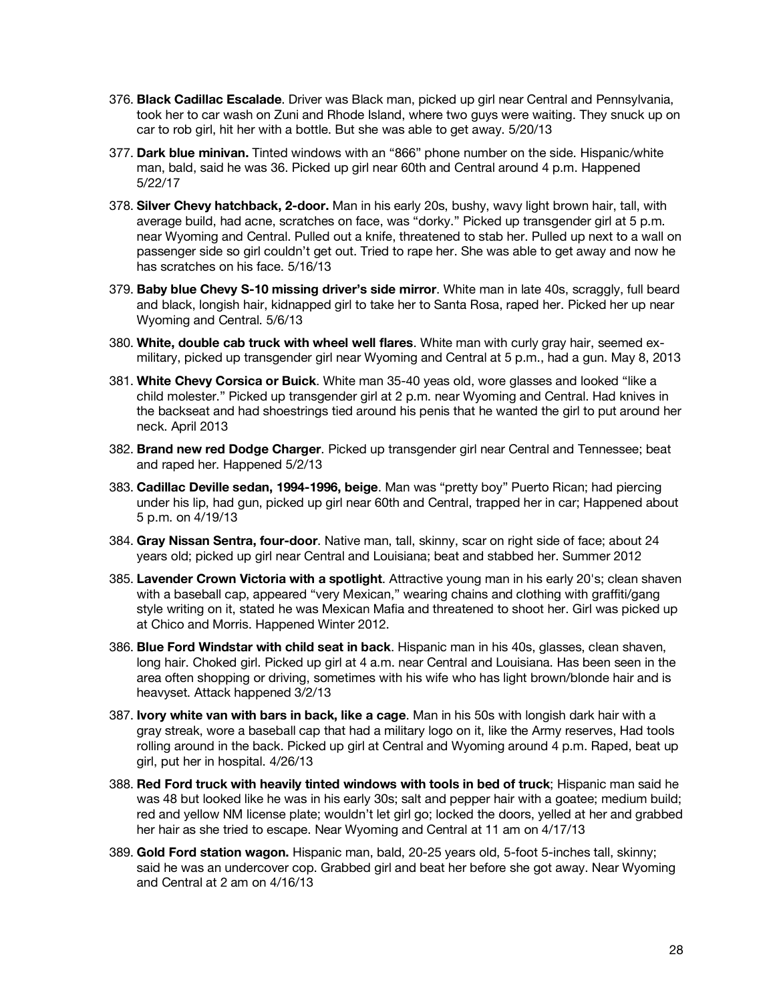- 376. **Black Cadillac Escalade**. Driver was Black man, picked up girl near Central and Pennsylvania, took her to car wash on Zuni and Rhode Island, where two guys were waiting. They snuck up on car to rob girl, hit her with a bottle. But she was able to get away. 5/20/13
- 377. **Dark blue minivan.** Tinted windows with an "866" phone number on the side. Hispanic/white man, bald, said he was 36. Picked up girl near 60th and Central around 4 p.m. Happened 5/22/17
- 378. **Silver Chevy hatchback, 2-door.** Man in his early 20s, bushy, wavy light brown hair, tall, with average build, had acne, scratches on face, was "dorky." Picked up transgender girl at 5 p.m. near Wyoming and Central. Pulled out a knife, threatened to stab her. Pulled up next to a wall on passenger side so girl couldn't get out. Tried to rape her. She was able to get away and now he has scratches on his face. 5/16/13
- 379. **Baby blue Chevy S-10 missing driver's side mirror**. White man in late 40s, scraggly, full beard and black, longish hair, kidnapped girl to take her to Santa Rosa, raped her. Picked her up near Wyoming and Central. 5/6/13
- 380. **White, double cab truck with wheel well flares**. White man with curly gray hair, seemed exmilitary, picked up transgender girl near Wyoming and Central at 5 p.m., had a gun. May 8, 2013
- 381. **White Chevy Corsica or Buick**. White man 35-40 yeas old, wore glasses and looked "like a child molester." Picked up transgender girl at 2 p.m. near Wyoming and Central. Had knives in the backseat and had shoestrings tied around his penis that he wanted the girl to put around her neck. April 2013
- 382. **Brand new red Dodge Charger**. Picked up transgender girl near Central and Tennessee; beat and raped her. Happened 5/2/13
- 383. **Cadillac Deville sedan, 1994-1996, beige**. Man was "pretty boy" Puerto Rican; had piercing under his lip, had gun, picked up girl near 60th and Central, trapped her in car; Happened about 5 p.m. on 4/19/13
- 384. **Gray Nissan Sentra, four-door**. Native man, tall, skinny, scar on right side of face; about 24 years old; picked up girl near Central and Louisiana; beat and stabbed her. Summer 2012
- 385. **Lavender Crown Victoria with a spotlight**. Attractive young man in his early 20's; clean shaven with a baseball cap, appeared "very Mexican," wearing chains and clothing with graffiti/gang style writing on it, stated he was Mexican Mafia and threatened to shoot her. Girl was picked up at Chico and Morris. Happened Winter 2012.
- 386. **Blue Ford Windstar with child seat in back**. Hispanic man in his 40s, glasses, clean shaven, long hair. Choked girl. Picked up girl at 4 a.m. near Central and Louisiana. Has been seen in the area often shopping or driving, sometimes with his wife who has light brown/blonde hair and is heavyset. Attack happened 3/2/13
- 387. **Ivory white van with bars in back, like a cage**. Man in his 50s with longish dark hair with a gray streak, wore a baseball cap that had a military logo on it, like the Army reserves, Had tools rolling around in the back. Picked up girl at Central and Wyoming around 4 p.m. Raped, beat up girl, put her in hospital. 4/26/13
- 388. **Red Ford truck with heavily tinted windows with tools in bed of truck**; Hispanic man said he was 48 but looked like he was in his early 30s; salt and pepper hair with a goatee; medium build; red and yellow NM license plate; wouldn't let girl go; locked the doors, yelled at her and grabbed her hair as she tried to escape. Near Wyoming and Central at 11 am on 4/17/13
- 389. **Gold Ford station wagon.** Hispanic man, bald, 20-25 years old, 5-foot 5-inches tall, skinny; said he was an undercover cop. Grabbed girl and beat her before she got away. Near Wyoming and Central at 2 am on 4/16/13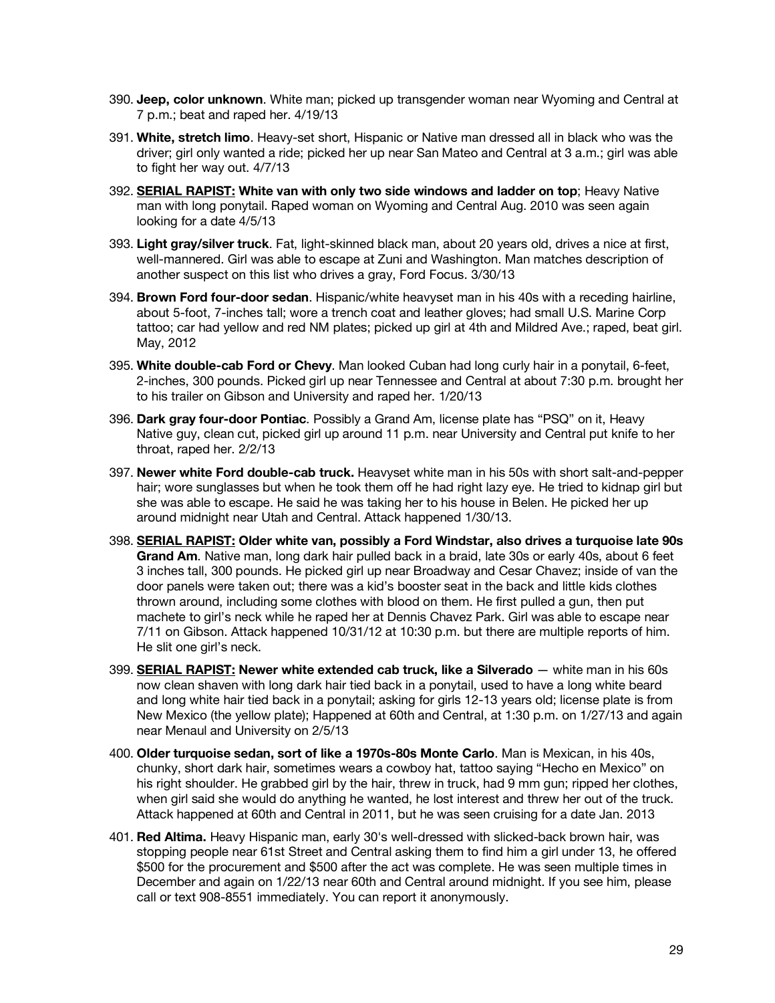- 390. **Jeep, color unknown**. White man; picked up transgender woman near Wyoming and Central at 7 p.m.; beat and raped her. 4/19/13
- 391. **White, stretch limo**. Heavy-set short, Hispanic or Native man dressed all in black who was the driver; girl only wanted a ride; picked her up near San Mateo and Central at 3 a.m.; girl was able to fight her way out. 4/7/13
- 392. **SERIAL RAPIST: White van with only two side windows and ladder on top**; Heavy Native man with long ponytail. Raped woman on Wyoming and Central Aug. 2010 was seen again looking for a date 4/5/13
- 393. **Light gray/silver truck**. Fat, light-skinned black man, about 20 years old, drives a nice at first, well-mannered. Girl was able to escape at Zuni and Washington. Man matches description of another suspect on this list who drives a gray, Ford Focus. 3/30/13
- 394. **Brown Ford four-door sedan**. Hispanic/white heavyset man in his 40s with a receding hairline, about 5-foot, 7-inches tall; wore a trench coat and leather gloves; had small U.S. Marine Corp tattoo; car had yellow and red NM plates; picked up girl at 4th and Mildred Ave.; raped, beat girl. May, 2012
- 395. **White double-cab Ford or Chevy**. Man looked Cuban had long curly hair in a ponytail, 6-feet, 2-inches, 300 pounds. Picked girl up near Tennessee and Central at about 7:30 p.m. brought her to his trailer on Gibson and University and raped her. 1/20/13
- 396. **Dark gray four-door Pontiac**. Possibly a Grand Am, license plate has "PSQ" on it, Heavy Native guy, clean cut, picked girl up around 11 p.m. near University and Central put knife to her throat, raped her. 2/2/13
- 397. **Newer white Ford double-cab truck.** Heavyset white man in his 50s with short salt-and-pepper hair; wore sunglasses but when he took them off he had right lazy eye. He tried to kidnap girl but she was able to escape. He said he was taking her to his house in Belen. He picked her up around midnight near Utah and Central. Attack happened 1/30/13.
- 398. **SERIAL RAPIST: Older white van, possibly a Ford Windstar, also drives a turquoise late 90s Grand Am**. Native man, long dark hair pulled back in a braid, late 30s or early 40s, about 6 feet 3 inches tall, 300 pounds. He picked girl up near Broadway and Cesar Chavez; inside of van the door panels were taken out; there was a kid's booster seat in the back and little kids clothes thrown around, including some clothes with blood on them. He first pulled a gun, then put machete to girl's neck while he raped her at Dennis Chavez Park. Girl was able to escape near 7/11 on Gibson. Attack happened 10/31/12 at 10:30 p.m. but there are multiple reports of him. He slit one girl's neck.
- 399. **SERIAL RAPIST: Newer white extended cab truck, like a Silverado** white man in his 60s now clean shaven with long dark hair tied back in a ponytail, used to have a long white beard and long white hair tied back in a ponytail; asking for girls 12-13 years old; license plate is from New Mexico (the yellow plate); Happened at 60th and Central, at 1:30 p.m. on 1/27/13 and again near Menaul and University on 2/5/13
- 400. **Older turquoise sedan, sort of like a 1970s-80s Monte Carlo**. Man is Mexican, in his 40s, chunky, short dark hair, sometimes wears a cowboy hat, tattoo saying "Hecho en Mexico" on his right shoulder. He grabbed girl by the hair, threw in truck, had 9 mm gun; ripped her clothes, when girl said she would do anything he wanted, he lost interest and threw her out of the truck. Attack happened at 60th and Central in 2011, but he was seen cruising for a date Jan. 2013
- 401. **Red Altima.** Heavy Hispanic man, early 30's well-dressed with slicked-back brown hair, was stopping people near 61st Street and Central asking them to find him a girl under 13, he offered \$500 for the procurement and \$500 after the act was complete. He was seen multiple times in December and again on 1/22/13 near 60th and Central around midnight. If you see him, please call or text 908-8551 immediately. You can report it anonymously.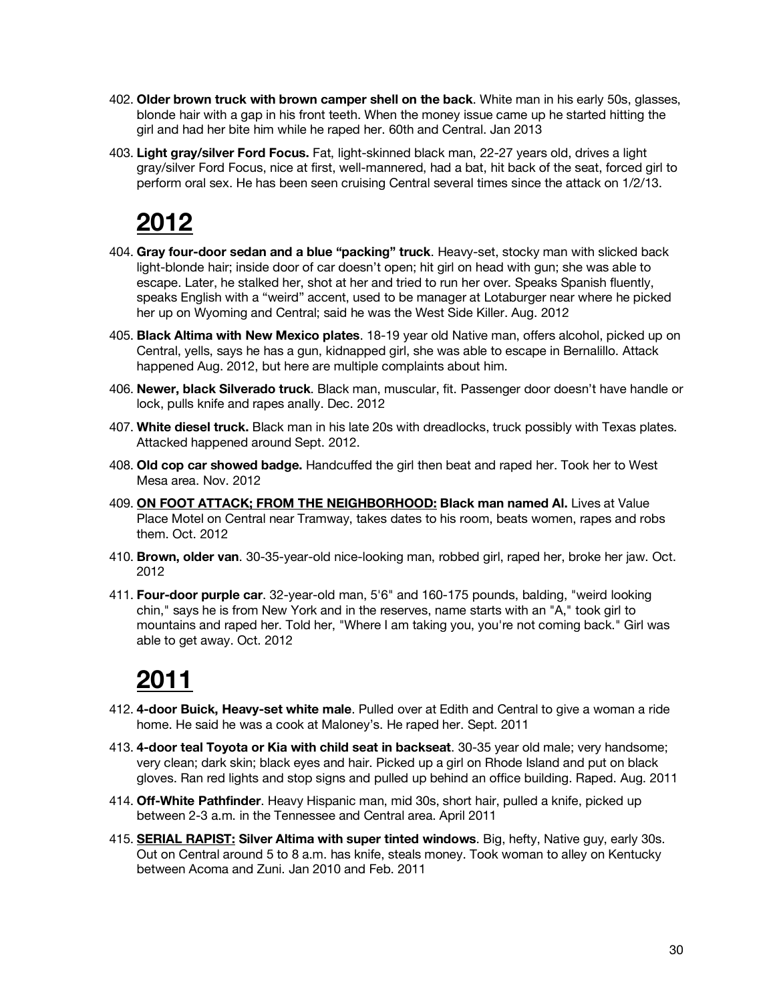- 402. **Older brown truck with brown camper shell on the back**. White man in his early 50s, glasses, blonde hair with a gap in his front teeth. When the money issue came up he started hitting the girl and had her bite him while he raped her. 60th and Central. Jan 2013
- 403. **Light gray/silver Ford Focus.** Fat, light-skinned black man, 22-27 years old, drives a light gray/silver Ford Focus, nice at first, well-mannered, had a bat, hit back of the seat, forced girl to perform oral sex. He has been seen cruising Central several times since the attack on 1/2/13.

- 404. **Gray four-door sedan and a blue "packing" truck**. Heavy-set, stocky man with slicked back light-blonde hair; inside door of car doesn't open; hit girl on head with gun; she was able to escape. Later, he stalked her, shot at her and tried to run her over. Speaks Spanish fluently, speaks English with a "weird" accent, used to be manager at Lotaburger near where he picked her up on Wyoming and Central; said he was the West Side Killer. Aug. 2012
- 405. **Black Altima with New Mexico plates**. 18-19 year old Native man, offers alcohol, picked up on Central, yells, says he has a gun, kidnapped girl, she was able to escape in Bernalillo. Attack happened Aug. 2012, but here are multiple complaints about him.
- 406. **Newer, black Silverado truck**. Black man, muscular, fit. Passenger door doesn't have handle or lock, pulls knife and rapes anally. Dec. 2012
- 407. **White diesel truck.** Black man in his late 20s with dreadlocks, truck possibly with Texas plates. Attacked happened around Sept. 2012.
- 408. **Old cop car showed badge.** Handcuffed the girl then beat and raped her. Took her to West Mesa area. Nov. 2012
- 409. **ON FOOT ATTACK; FROM THE NEIGHBORHOOD: Black man named Al.** Lives at Value Place Motel on Central near Tramway, takes dates to his room, beats women, rapes and robs them. Oct. 2012
- 410. **Brown, older van**. 30-35-year-old nice-looking man, robbed girl, raped her, broke her jaw. Oct. 2012
- 411. **Four-door purple car**. 32-year-old man, 5'6" and 160-175 pounds, balding, "weird looking chin," says he is from New York and in the reserves, name starts with an "A," took girl to mountains and raped her. Told her, "Where I am taking you, you're not coming back." Girl was able to get away. Oct. 2012

- 412. **4-door Buick, Heavy-set white male**. Pulled over at Edith and Central to give a woman a ride home. He said he was a cook at Maloney's. He raped her. Sept. 2011
- 413. **4-door teal Toyota or Kia with child seat in backseat**. 30-35 year old male; very handsome; very clean; dark skin; black eyes and hair. Picked up a girl on Rhode Island and put on black gloves. Ran red lights and stop signs and pulled up behind an office building. Raped. Aug. 2011
- 414. **Off-White Pathfinder**. Heavy Hispanic man, mid 30s, short hair, pulled a knife, picked up between 2-3 a.m. in the Tennessee and Central area. April 2011
- 415. **SERIAL RAPIST: Silver Altima with super tinted windows**. Big, hefty, Native guy, early 30s. Out on Central around 5 to 8 a.m. has knife, steals money. Took woman to alley on Kentucky between Acoma and Zuni. Jan 2010 and Feb. 2011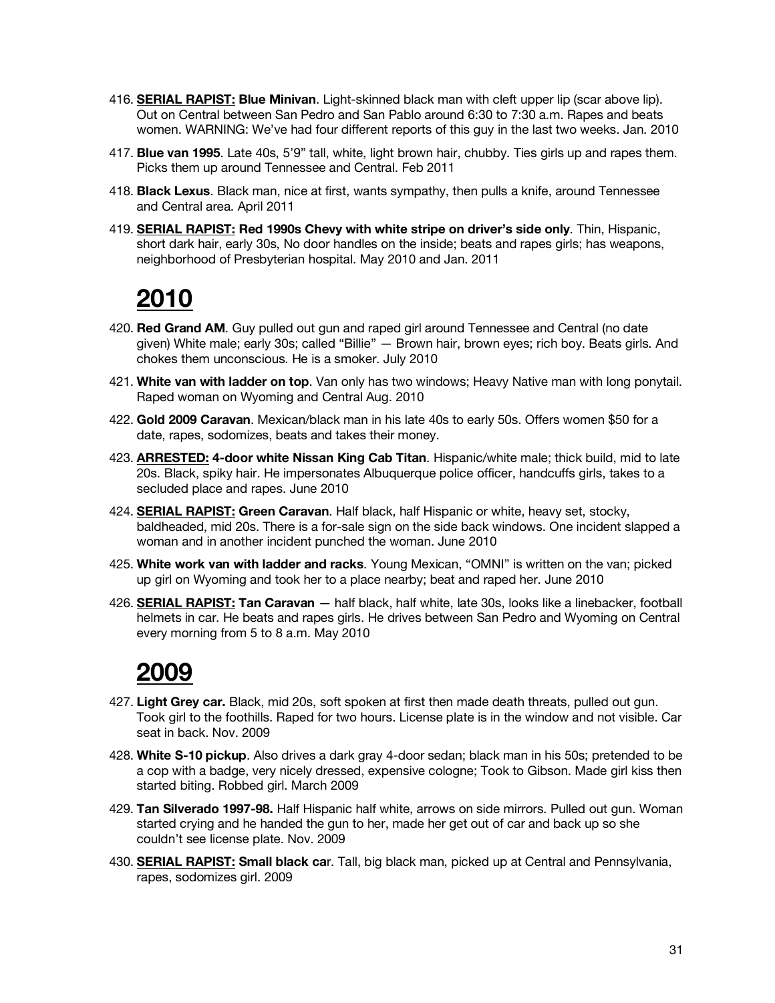- 416. **SERIAL RAPIST: Blue Minivan**. Light-skinned black man with cleft upper lip (scar above lip). Out on Central between San Pedro and San Pablo around 6:30 to 7:30 a.m. Rapes and beats women. WARNING: We've had four different reports of this guy in the last two weeks. Jan. 2010
- 417. **Blue van 1995**. Late 40s, 5'9" tall, white, light brown hair, chubby. Ties girls up and rapes them. Picks them up around Tennessee and Central. Feb 2011
- 418. **Black Lexus**. Black man, nice at first, wants sympathy, then pulls a knife, around Tennessee and Central area. April 2011
- 419. **SERIAL RAPIST: Red 1990s Chevy with white stripe on driver's side only**. Thin, Hispanic, short dark hair, early 30s, No door handles on the inside; beats and rapes girls; has weapons, neighborhood of Presbyterian hospital. May 2010 and Jan. 2011

- 420. **Red Grand AM**. Guy pulled out gun and raped girl around Tennessee and Central (no date given) White male; early 30s; called "Billie" — Brown hair, brown eyes; rich boy. Beats girls. And chokes them unconscious. He is a smoker. July 2010
- 421. **White van with ladder on top**. Van only has two windows; Heavy Native man with long ponytail. Raped woman on Wyoming and Central Aug. 2010
- 422. **Gold 2009 Caravan**. Mexican/black man in his late 40s to early 50s. Offers women \$50 for a date, rapes, sodomizes, beats and takes their money.
- 423. **ARRESTED: 4-door white Nissan King Cab Titan**. Hispanic/white male; thick build, mid to late 20s. Black, spiky hair. He impersonates Albuquerque police officer, handcuffs girls, takes to a secluded place and rapes. June 2010
- 424. **SERIAL RAPIST: Green Caravan**. Half black, half Hispanic or white, heavy set, stocky, baldheaded, mid 20s. There is a for-sale sign on the side back windows. One incident slapped a woman and in another incident punched the woman. June 2010
- 425. **White work van with ladder and racks**. Young Mexican, "OMNI" is written on the van; picked up girl on Wyoming and took her to a place nearby; beat and raped her. June 2010
- 426. **SERIAL RAPIST: Tan Caravan** half black, half white, late 30s, looks like a linebacker, football helmets in car. He beats and rapes girls. He drives between San Pedro and Wyoming on Central every morning from 5 to 8 a.m. May 2010

- 427. **Light Grey car.** Black, mid 20s, soft spoken at first then made death threats, pulled out gun. Took girl to the foothills. Raped for two hours. License plate is in the window and not visible. Car seat in back. Nov. 2009
- 428. **White S-10 pickup**. Also drives a dark gray 4-door sedan; black man in his 50s; pretended to be a cop with a badge, very nicely dressed, expensive cologne; Took to Gibson. Made girl kiss then started biting. Robbed girl. March 2009
- 429. **Tan Silverado 1997-98.** Half Hispanic half white, arrows on side mirrors. Pulled out gun. Woman started crying and he handed the gun to her, made her get out of car and back up so she couldn't see license plate. Nov. 2009
- 430. **SERIAL RAPIST: Small black ca**r. Tall, big black man, picked up at Central and Pennsylvania, rapes, sodomizes girl. 2009